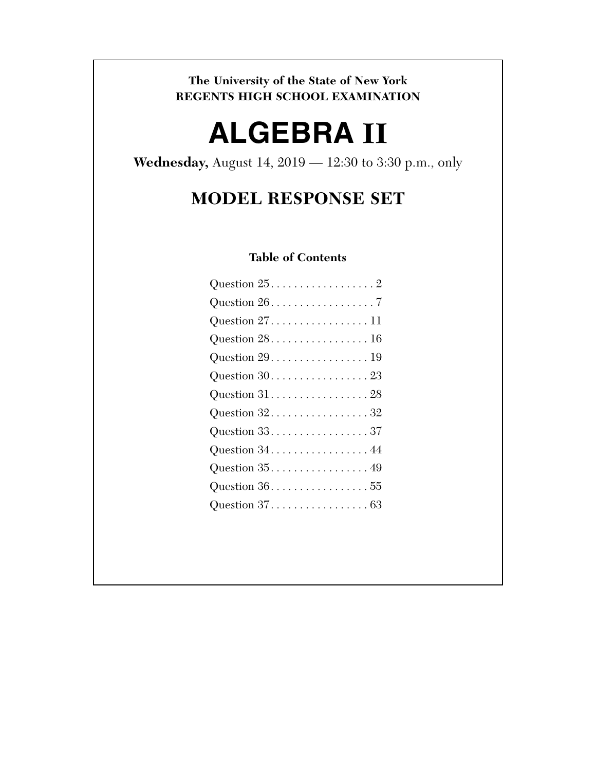**The University of the State of New York REGENTS HIGH SCHOOL EXAMINATION** 

# **ALGEBRA II**

**Wednesday,** August 14, 2019 — 12:30 to 3:30 p.m., only

# **MODEL RESPONSE SET**

# **Table of Contents**

| Question $25.$ 2                                            |
|-------------------------------------------------------------|
| Question $26. \ldots \ldots \ldots \ldots \ldots 7$         |
| Question $27$ 11                                            |
| Question $28.$ 16                                           |
| Question $29. \ldots \ldots \ldots \ldots \ldots \ldots 19$ |
|                                                             |
| Question $31.$ 28                                           |
| Question $32. \ldots \ldots \ldots \ldots \ldots \ldots 32$ |
| Question 33. 37                                             |
| Question $34$ 44                                            |
| Question $35. \ldots \ldots \ldots \ldots \ldots 49$        |
| Question $36. \ldots \ldots \ldots \ldots \ldots 55$        |
| Question $37.$ 63                                           |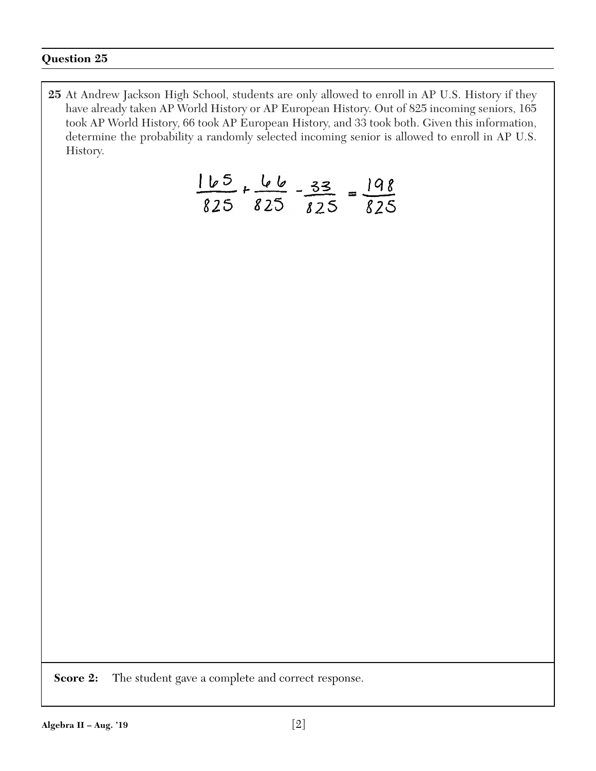**25** At Andrew Jackson High School, students are only allowed to enroll in AP U.S. History if they have already taken AP World History or AP European History. Out of 825 incoming seniors, 165 took AP World History, 66 took AP European History, and 33 took both. Given this information, determine the probability a randomly selected incoming senior is allowed to enroll in AP U.S. History.

$$
\frac{165}{825} + \frac{66}{825} - \frac{33}{825} = \frac{198}{825}
$$

**Score 2:** The student gave a complete and correct response.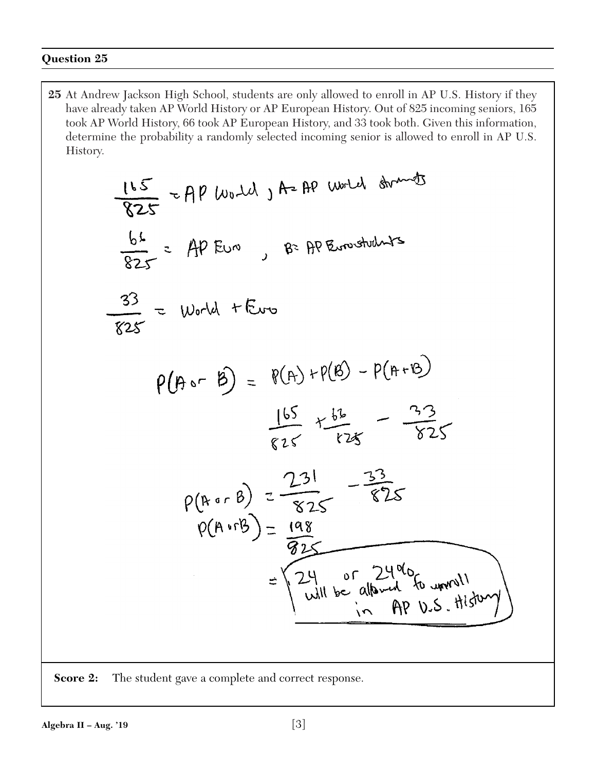**25** At Andrew Jackson High School, students are only allowed to enroll in AP U.S. History if they have already taken AP World History or AP European History. Out of 825 incoming seniors, 165 took AP World History, 66 took AP European History, and 33 took both. Given this information, determine the probability a randomly selected incoming senior is allowed to enroll in AP U.S. History.

$$
\frac{165}{825} = AP \text{ [to-d]} \text{ } A = AP \text{ (with } A \text{ mod } 3
$$
\n
$$
\frac{66}{825} = AP \text{ [to-d]} + \text{[to-d]} \text{ } B = RP \text{ [to-d]} + \text{[to-d]} \text{ }
$$
\n
$$
\frac{33}{825} = \text{World} + \text{[to-d]} \text{ } \frac{165}{825} + \frac{66}{125} - \frac{33}{125} - \frac{33}{125} = \frac{165}{125} + \frac{66}{125} - \frac{33}{125} = \frac{165}{125} = \frac{133}{125} = \frac{168}{125} = \frac{168}{125} = \frac{168}{125} = \frac{24}{125} = \frac{168}{125} = \frac{24}{125} = \frac{168}{125} = \frac{24}{125} = \frac{168}{125} = \frac{248}{125} = \frac{168}{125} = \frac{168}{125} = \frac{168}{125} = \frac{168}{125} = \frac{168}{125} = \frac{168}{125} = \frac{168}{125} = \frac{168}{125} = \frac{168}{125} = \frac{168}{125} = \frac{168}{125} = \frac{168}{125} = \frac{168}{125} = \frac{168}{125} = \frac{168}{125} = \frac{168}{125} = \frac{168}{125} = \frac{168}{125} = \frac{168}{125} = \frac{168}{125} = \frac{168}{125} = \frac{168}{125} = \frac{168}{125} = \frac{168}{125} = \frac{168}{125} = \frac{168}{125} = \frac{168}{125} = \frac{168}{125} = \frac{168}{125} = \frac{168}{125} = \frac{168}{125} = \frac{168}{125} = \frac{168}{125} = \frac{16
$$

**Score 2:** The student gave a complete and correct response.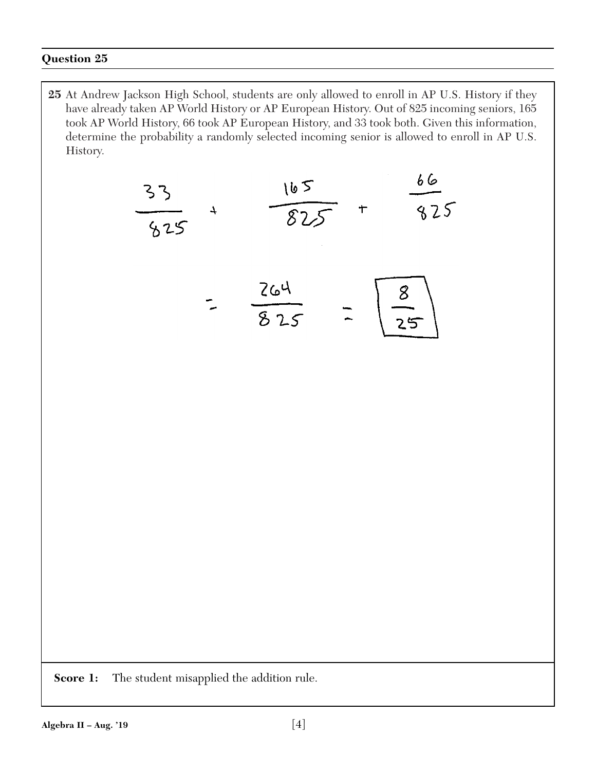**25** At Andrew Jackson High School, students are only allowed to enroll in AP U.S. History if they have already taken AP World History or AP European History. Out of 825 incoming seniors, 165 took AP World History, 66 took AP European History, and 33 took both. Given this information, determine the probability a randomly selected incoming senior is allowed to enroll in AP U.S. History.



**Score 1:** The student misapplied the addition rule.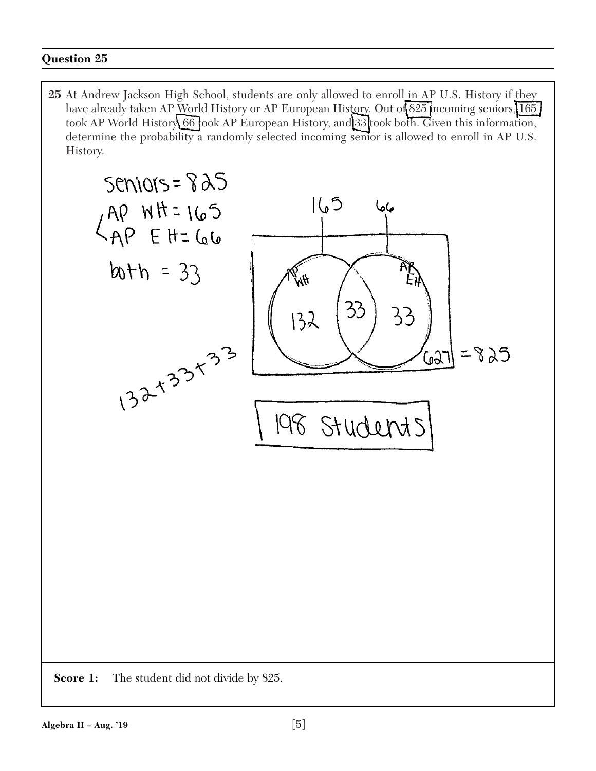25 At Andrew Jackson High School, students are only allowed to enroll in AP U.S. History if they have already taken AP World History or AP European History. Out of 825 incoming seniors, 165 took AP World History 66 took AP European History, and 33 took both. Given this information, determine the probability a randomly selected incoming senior is allowed to enroll in AP U.S. History.

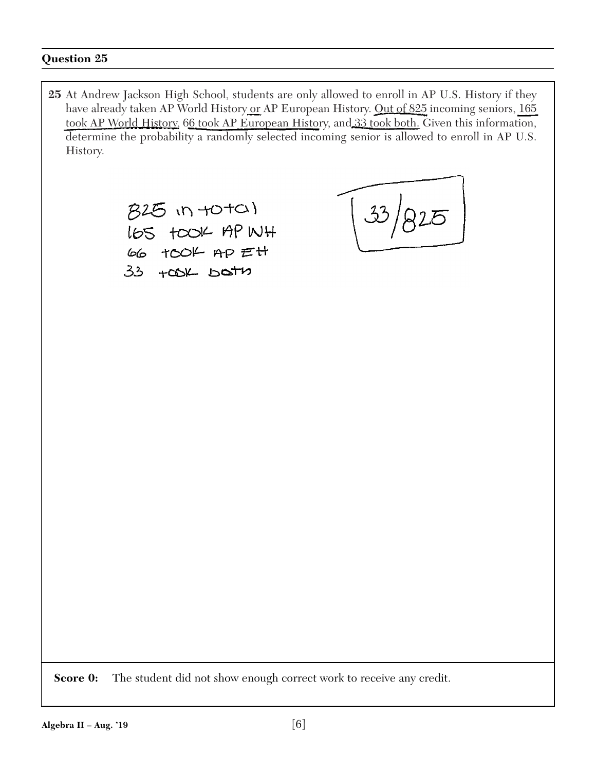**25** At Andrew Jackson High School, students are only allowed to enroll in AP U.S. History if they have already taken AP World History or AP European History. Out of 825 incoming seniors, 165 took AP World History, 66 took AP European History, and 33 took both. Given this information, determine the probability a randomly selected incoming senior is allowed to enroll in AP U.S. History. 825 in +0+01  $33/$ LGS TOOK AP WH 66 TOOK AP Ett  $33 + 00K$  bath **Score 0:** The student did not show enough correct work to receive any credit.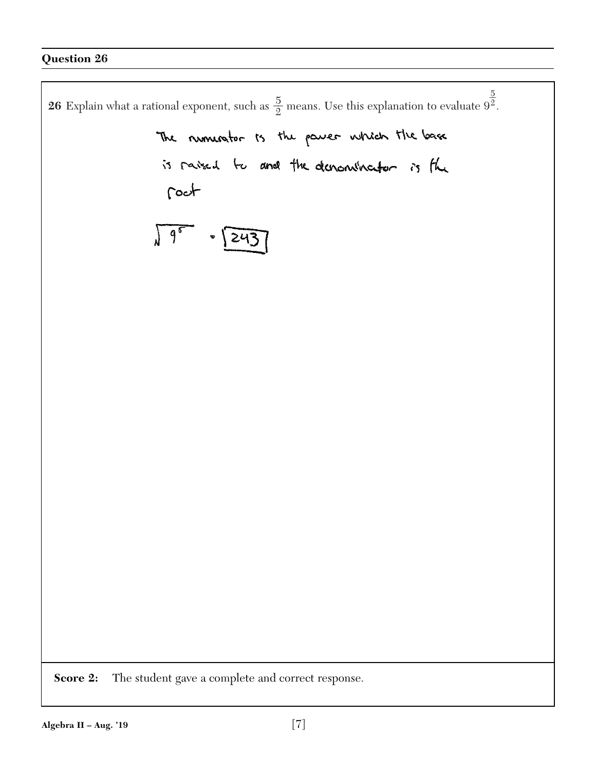$\overline{5}$ **26** Explain what a rational exponent, such as  $\frac{5}{2}$  means. Use this explanation to evaluate  $9^{\frac{3}{2}}$ . 2The numerator is the passer which the base is raised to and the denominator is the roct  $\sqrt{95}$  $= 243$ **Score 2:** The student gave a complete and correct response.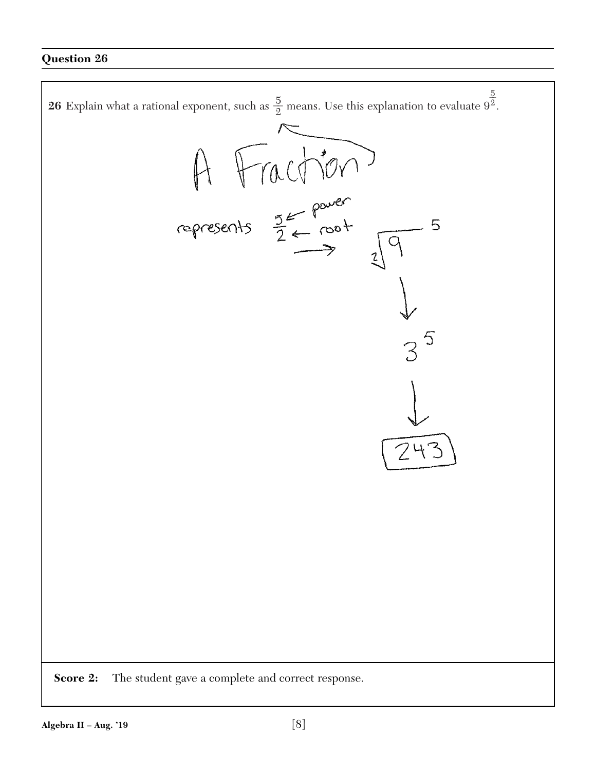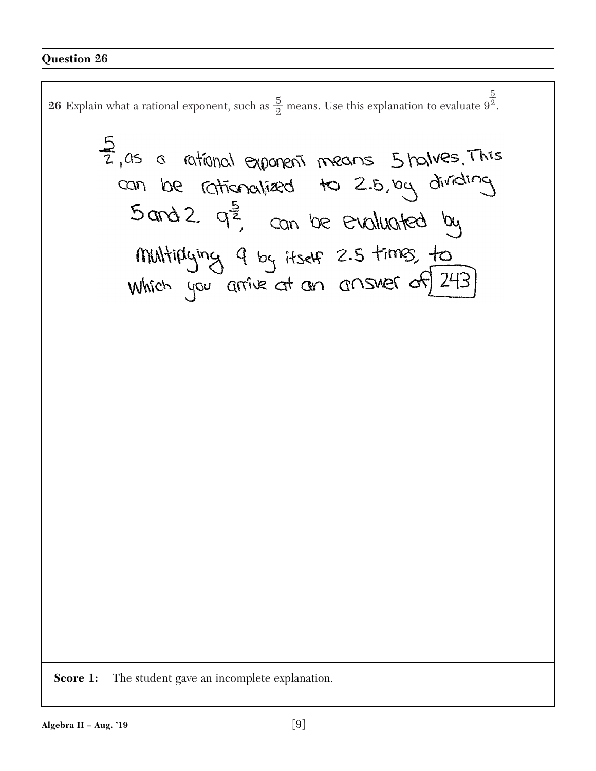**26** Explain what a rational exponent, such as  $\frac{5}{2}$  means. Use this explanation to evaluate  $9^{\frac{3}{2}}$ .  $\overline{5}$ 2

 $\frac{5}{2}$ , as a rational exponent means  $5$  halves. This<br>can be rationalized to 2.5, by dividing<br> $5$  and 2.  $q^{\frac{5}{2}}$ , can be evaluated by Multiplying 9 by itself 2.5 times, to

**Score 1:** The student gave an incomplete explanation.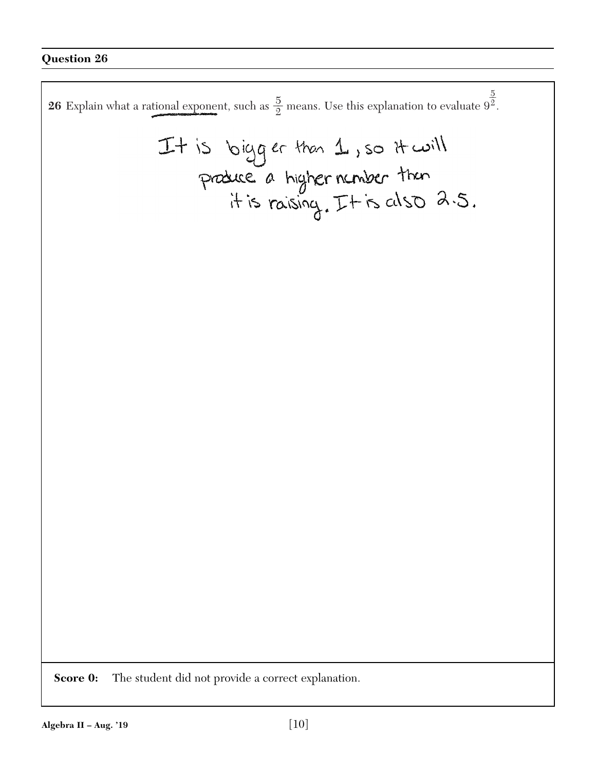$\overline{5}$ **26** Explain what a rational exponent, such as  $\frac{5}{2}$  means. Use this explanation to evaluate  $9^{\frac{3}{2}}$ . 2It is bigger than  $\perp$ , so it will<br>produce a higher number than<br>it is raising. It is also  $a.5$ . **Score 0:** The student did not provide a correct explanation.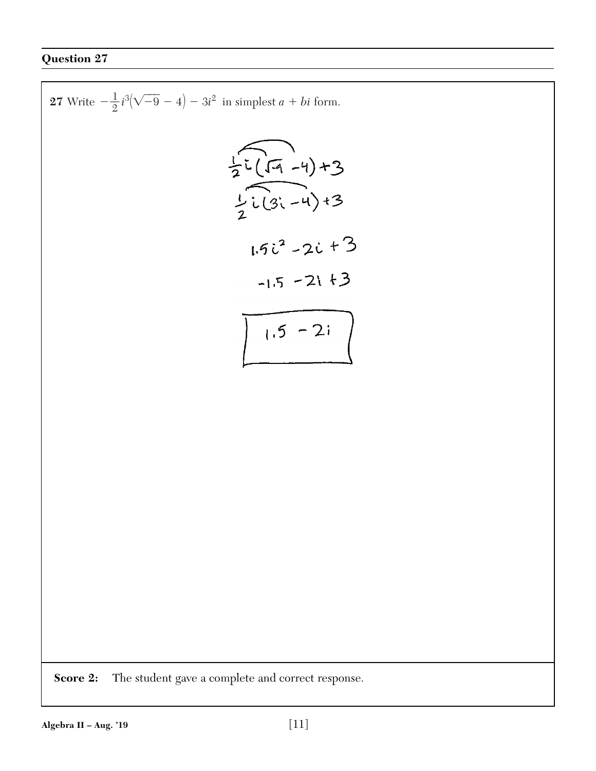27 Write 
$$
-\frac{1}{2}i^{3}(\sqrt{-9}-4)-3i^{2}
$$
 in simplest  $a + bi$  form.  
\n
$$
\frac{1}{2}i(\sqrt{-9}-4)+3
$$
\n
$$
1\cdot 6i^{2}-4\cdot 3
$$
\n
$$
1\cdot 5i^{2}-2i+3
$$
\n
$$
-1\cdot 5-2i+3
$$
\n
$$
1\cdot 5-2i
$$
\n\nScore 2: The student gave a complete and correct response.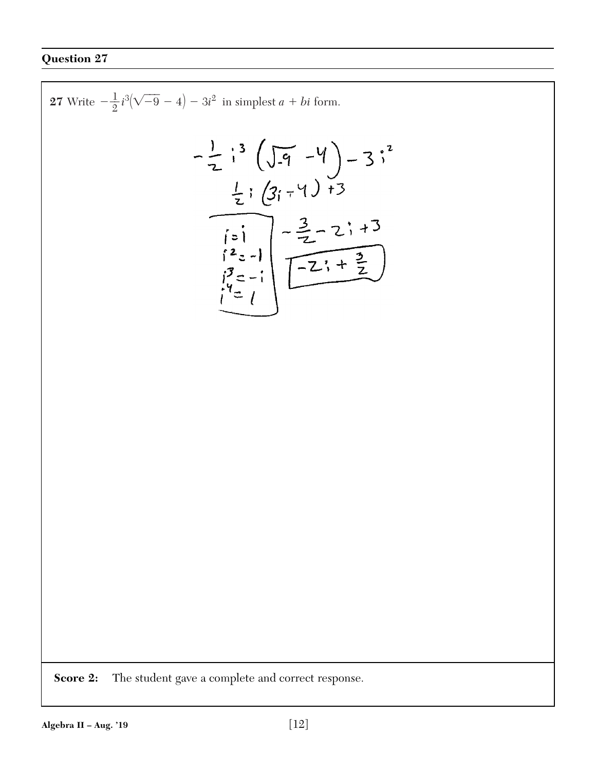$\mathbf{r}$ 

27 Write 
$$
-\frac{1}{2}i^{3}(\sqrt{-9}-4)-3i^{2}
$$
 in simplest  $a + bi$  form.  
\n
$$
-\frac{1}{2}i^{3}(\sqrt{-9}-4)-3i^{2}
$$
\n
$$
\frac{1}{2}i(3i-4)+3
$$
\n
$$
i=1
$$
\n
$$
i=1
$$
\n
$$
i=2
$$
\n
$$
i=1
$$
\n
$$
i=2
$$
\n
$$
i=1
$$
\n
$$
i=1
$$
\n
$$
i=1
$$
\n
$$
i=1
$$
\n
$$
i=2
$$
\n
$$
i=2
$$
\n
$$
i=2
$$
\n
$$
i=2
$$
\n
$$
i=2
$$
\n
$$
i=2
$$
\n
$$
i=2
$$
\n
$$
i=2
$$
\n
$$
i=2
$$
\n
$$
i=2
$$
\n
$$
i=2
$$
\n
$$
i=2
$$
\n
$$
i=2
$$
\n
$$
i=2
$$
\n
$$
i=2
$$
\n
$$
i=2
$$
\n
$$
i=2
$$
\n
$$
i=2
$$
\n
$$
i=2
$$
\n
$$
i=2
$$
\n
$$
i=2
$$
\n
$$
i=2
$$
\n
$$
i=2
$$
\n
$$
i=2
$$
\n
$$
i=2
$$
\n
$$
i=2
$$
\n
$$
i=2
$$
\n
$$
i=2
$$
\n
$$
i=2
$$
\n
$$
i=2
$$
\n
$$
i=2
$$
\n
$$
i=2
$$
\n
$$
i=2
$$
\n
$$
i=2
$$
\n
$$
i=2
$$
\n
$$
i=2
$$
\n
$$
i=2
$$
\n
$$
i=2
$$
\n
$$
i=2
$$
\n
$$
i=2
$$
\n
$$
i=2
$$
\n
$$
i=2
$$
\n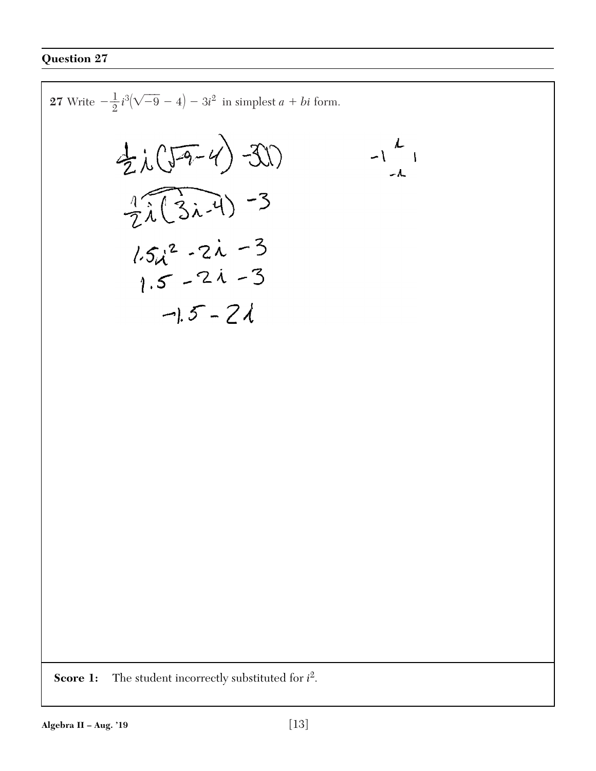**Score 1:** The student incorrectly substituted for *i* 2. **27** Write -\_\_1 2 *i* 3 (- -9 - 4) - 3*i* 2 in simplest *a bi* form.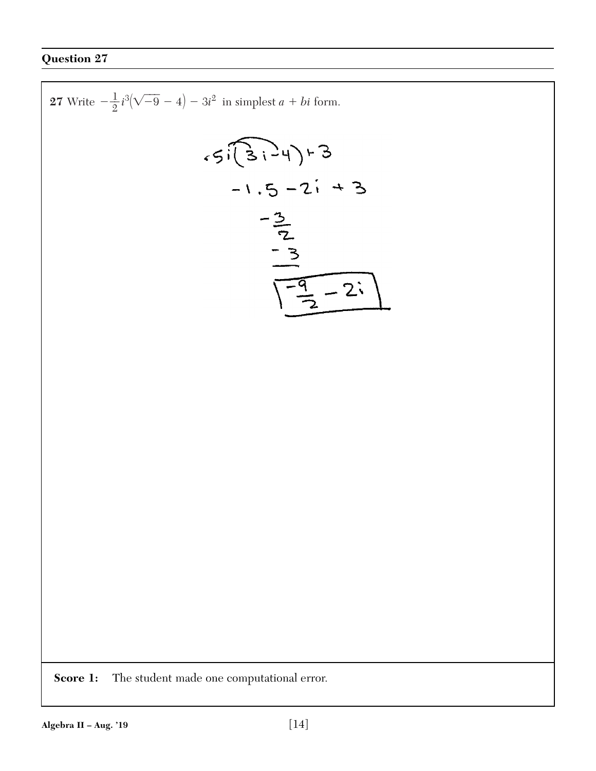$\mathbf{r}$ 

27 Write 
$$
-\frac{1}{2}i^{3}(\sqrt{-9}-4)-3i^{2}
$$
 in simplest  $a + bi$  form.  
\n
$$
\begin{array}{r} \begin{array}{r} \begin{array}{r} \begin{array}{r} \begin{array}{r} \end{array} \\ \end{array} \\ \begin{array}{r} \end{array} \\ \begin{array}{r} \end{array} \\ \begin{array}{r} \end{array} \\ \begin{array}{r} \end{array} \\ \begin{array}{r} \end{array} \\ \begin{array}{r} \end{array} \\ \begin{array}{r} \end{array} \\ \begin{array}{r} \end{array} \\ \begin{array}{r} \end{array} \\ \begin{array}{r} \end{array} \\ \begin{array}{r} \end{array} \\ \begin{array}{r} \end{array} \\ \begin{array}{r} \end{array} \\ \begin{array}{r} \end{array} \\ \begin{array}{r} \end{array} \\ \begin{array}{r} \end{array} \\ \begin{array}{r} \end{array} \\ \begin{array}{r} \end{array} \\ \begin{array}{r} \end{array} \\ \begin{array}{r} \end{array} \\ \begin{array}{r} \end{array} \\ \begin{array}{r} \end{array} \\ \begin{array}{r} \end{array} \\ \begin{array}{r} \end{array} \\ \begin{array}{r} \end{array} \\ \begin{array}{r} \end{array} \\ \begin{array}{r} \end{array} \\ \begin{array}{r} \end{array} \\ \begin{array}{r} \end{array} \\ \begin{array}{r} \end{array} \\ \begin{array}{r} \end{array} \\ \begin{array}{r} \end{array} \\ \begin{array}{r} \end{array} \\ \begin{array}{r} \end{array} \\ \begin{array}{r} \end{array} \\ \begin{array}{r} \end{array} \\ \begin{array}{r} \end{array} \\ \begin{array}{r} \end{array} \\ \begin{array}{r} \end{array} \\ \begin{array}{r} \end{array} \\ \begin{array}{r} \end{array} \\ \begin{array}{r} \end{array} \\ \begin{array}{r} \end{array} \\ \begin{array}{r} \end{array} \\ \begin{array}{r} \end{array} \\ \begin{array}{r} \end{array} \\ \begin{array}{r} \end{array} \\ \begin{array}{r} \end{array} \\ \begin{array} \end{array} \\ \begin{array} \end{array} \\ \begin{array} \end{array} \\ \begin{array} \end{array}
$$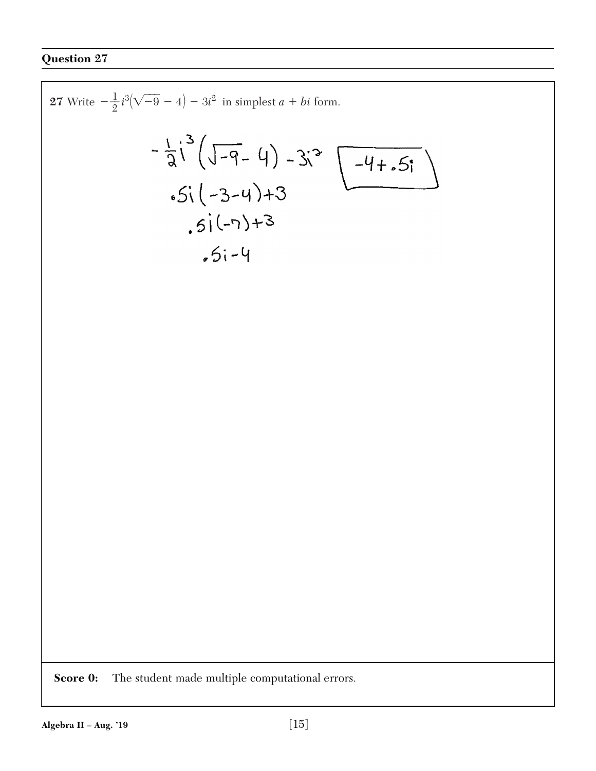27 Write 
$$
-\frac{1}{2}i^{3}(\sqrt{-9}-4)-3i^{2}
$$
 in simplest  $a + bi$  form.  
\n
$$
-\frac{1}{3}i^{3}(\sqrt{-9}-4)-3i^{3}
$$
\n
$$
-5i(-3-4)+3
$$
\n
$$
-5i(-4)
$$
\n
$$
-5i-4
$$
\nSolve 0: The student made multiple computational errors.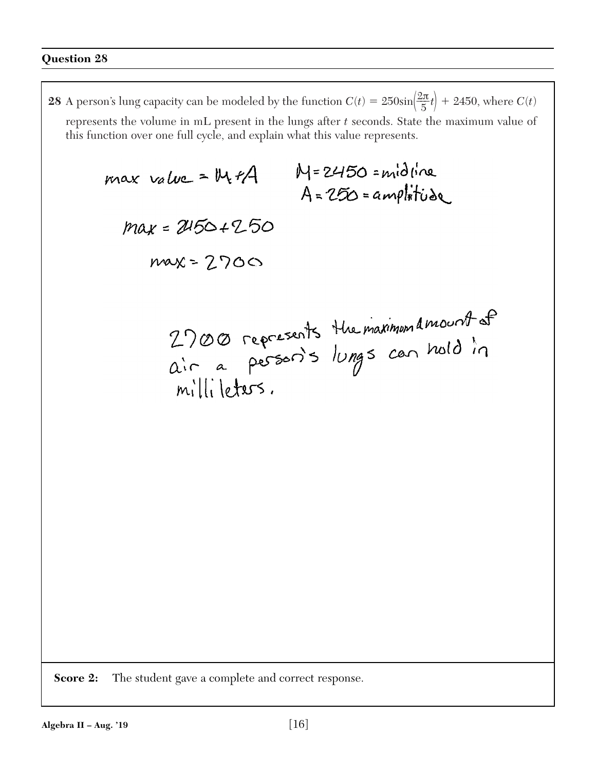**28** A person's lung capacity can be modeled by the function  $C(t) = 250\sin(\frac{2\pi}{5}t) + 2450$ , where  $C(t)$ represents the volume in mL present in the lungs after *t* seconds. State the maximum value of this function over one full cycle, and explain what this value represents.

**Score 2:** The student gave a complete and correct response.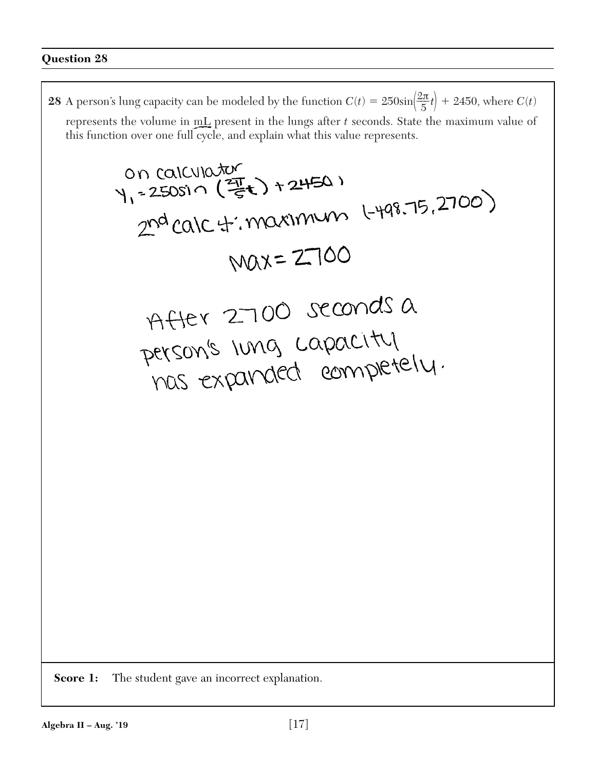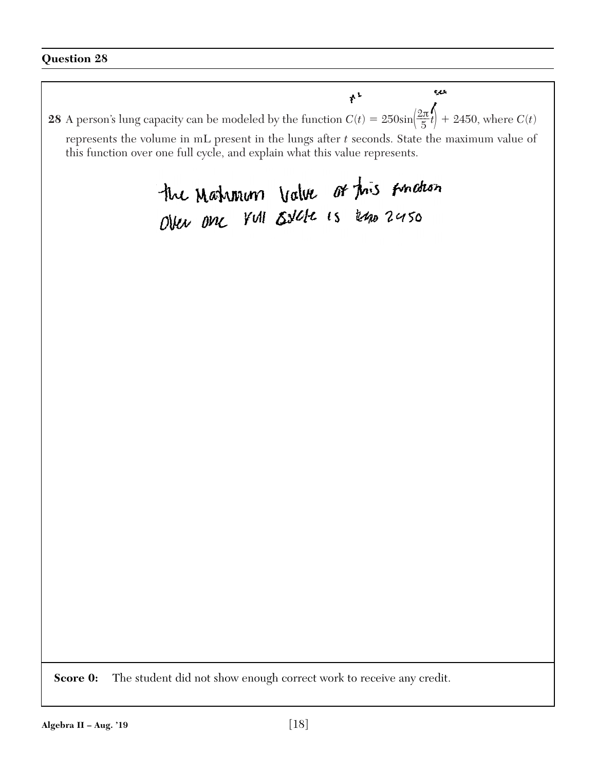بلعيه  $*$ **28** A person's lung capacity can be modeled by the function  $C(t) = 250\sin\left(\frac{2\pi t}{5}t\right) + 2450$ , where  $C(t)$ represents the volume in mL present in the lungs after *t* seconds. State the maximum value of this function over one full cycle, and explain what this value represents. the Mahmum Value of this Andron<br>Over one Yull Estete is kno 2450

**Score 0:** The student did not show enough correct work to receive any credit.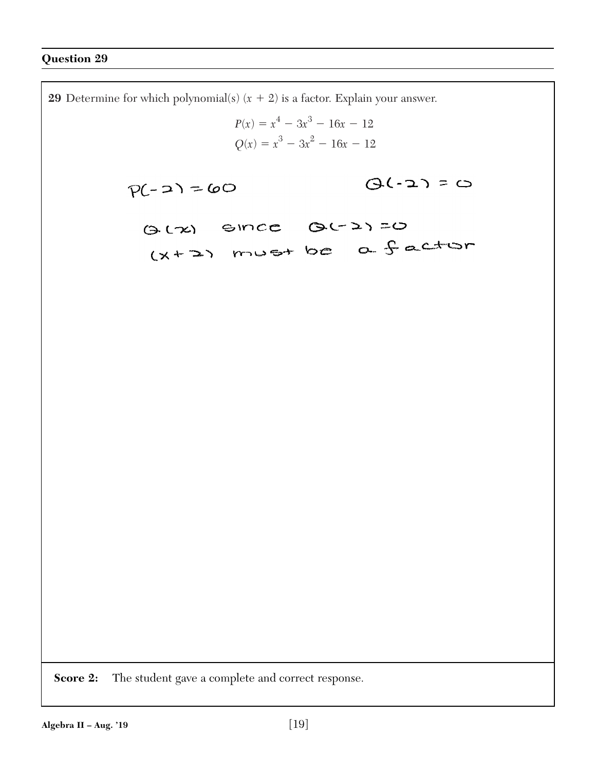**29** Determine for which polynomial(s)  $(x + 2)$  is a factor. Explain your answer.  $P(x) = x^4 - 3x^3 - 16x - 12$  $Q(x) = x^3 - 3x^2 - 16x - 12$  $Q(-2) = 0$  $P(-2) = 60$ (3 LZ) SINCE QU2)=0 (x+2) must be a factor **Score 2:** The student gave a complete and correct response.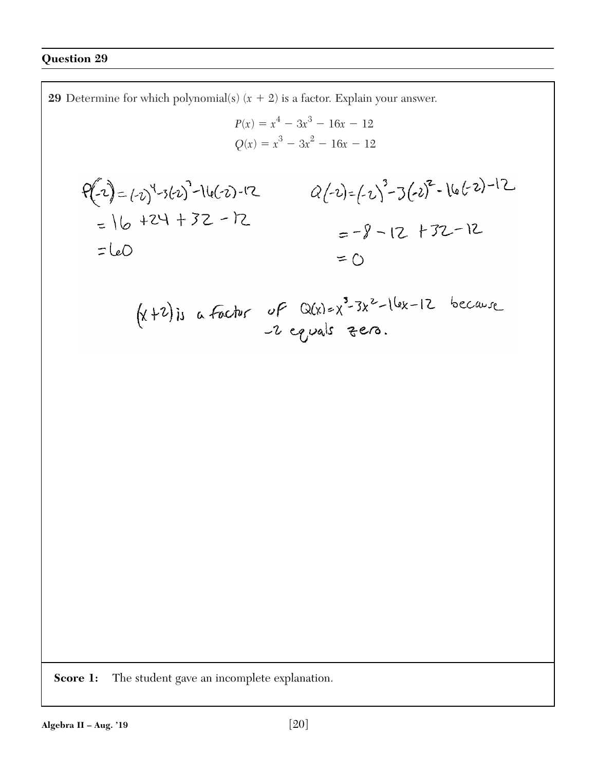**29** Determine for which polynomial(s)  $(x + 2)$  is a factor. Explain your answer.  $P(x) = x^4 - 3x^3 - 16x - 12$  $Q(x) = x^3 - 3x^2 - 16x - 12$  $P(-2) = (-2)^{4}-3(-2)^{-1}-(6(-2)-12)$ <br> $Q(-2) = (-2)^{3}-3(-2)^{2}-(6(-2)-12)$  $= 16 + 24 + 32 - 12$  $=-8 - 12 + 32 - 12$  $=$  LeO  $=$   $\cap$  $(x+2)$ is a factor of  $Q(x)=x^3-3x^2-16x-12$  because

**Score 1:** The student gave an incomplete explanation.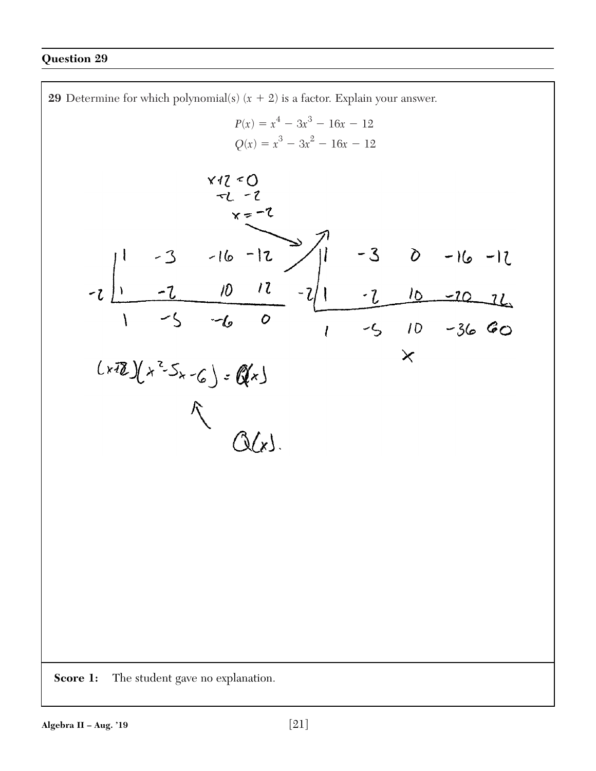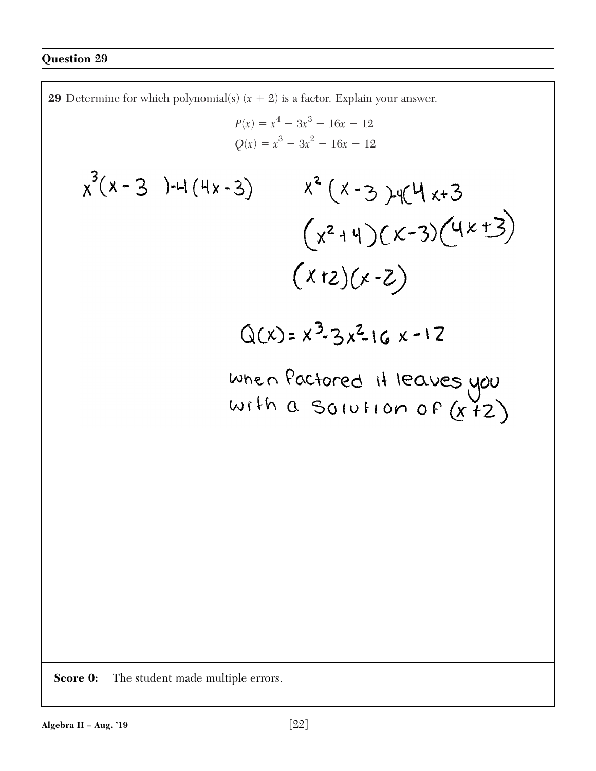**29** Determine for which polynomial(s)  $(x + 2)$  is a factor. Explain your answer.  $P(x) = x^4 - 3x^3 - 16x - 12$  $Q(x) = x^3 - 3x^2 - 16x - 12$  $x^3(x-3) - 4(4x-3)$  $x^{2}(x-3)$  y  $(x+3)$  $(x^{2}+4)(x-3)(4x+3)$  $(x+2)(x-2)$  $Q(x) = x^3 - 3x^2 - 6x - 12$ When factored it leaves you<br>With a Solution of (x+2)

**Score 0:** The student made multiple errors.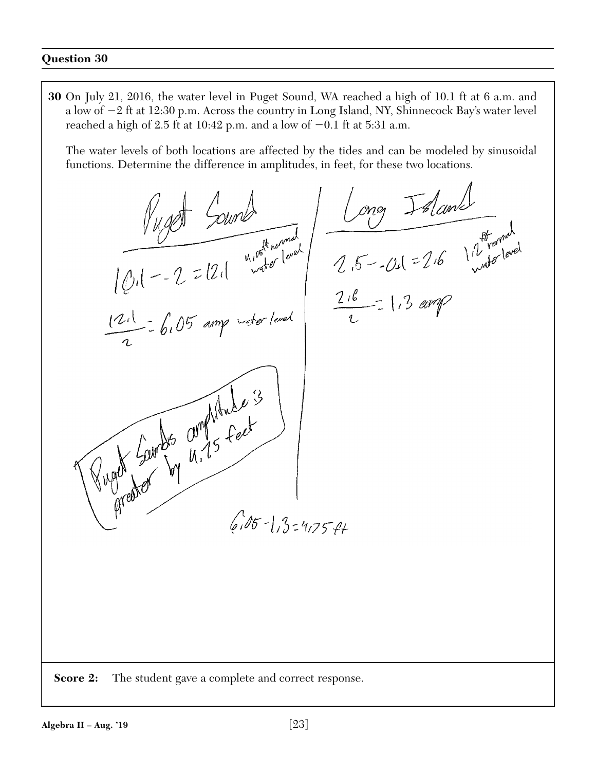**30** On July 21, 2016, the water level in Puget Sound, WA reached a high of 10.1 ft at 6 a.m. and a low of -2 ft at 12:30 p.m. Across the country in Long Island, NY, Shinnecock Bay's water level reached a high of 2.5 ft at 10:42 p.m. and a low of  $-0.1$  ft at 5:31 a.m.

The water levels of both locations are affected by the tides and can be modeled by sinusoidal functions. Determine the difference in amplitudes, in feet, for these two locations.

 $\frac{f_{U, QCD}}{f_{U, R} - 2} = 12.1$  where  $\frac{f_{U, QCD}}{f_{V, QCD}} = 2.6$  Method and  $f_{V, QCD}$  and  $f_{V, QCD}$  and  $f_{V, QCD}$  and  $f_{V, QCD}$  and  $f_{V, QCD}$  and  $f_{V, QCD}$  and  $f_{V, QCD}$  and  $f_{V, QCD}$  and  $f_{V, QCD}$  and  $f_{V, QCD}$  and  $f_{V, QCD}$  $|\psi_1| - 2 = |2| \frac{1}{2}$ <br> $\frac{1}{2}$   $\frac{1}{2}$   $\frac{1}{2}$   $\frac{1}{6}$   $\frac{1}{2}$   $\frac{1}{6}$   $\frac{1}{2}$   $\frac{1}{2}$   $\frac{1}{2}$   $\frac{1}{2}$   $\frac{1}{2}$ Puge Lourds amplitude 3  $6.05 - 1.3 = 4.75 - 44$ **Score 2:** The student gave a complete and correct response.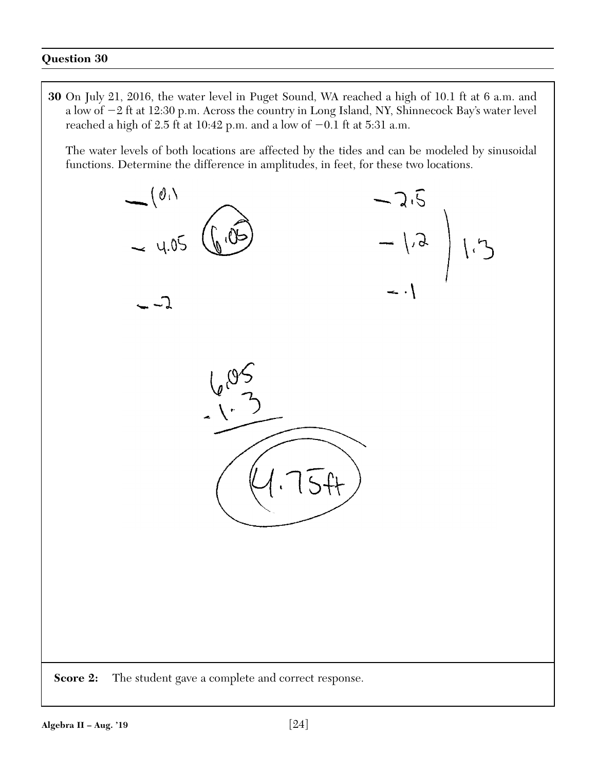**30** On July 21, 2016, the water level in Puget Sound, WA reached a high of 10.1 ft at 6 a.m. and a low of -2 ft at 12:30 p.m. Across the country in Long Island, NY, Shinnecock Bay's water level reached a high of 2.5 ft at 10:42 p.m. and a low of  $-0.1$  ft at 5:31 a.m.

The water levels of both locations are affected by the tides and can be modeled by sinusoidal functions. Determine the difference in amplitudes, in feet, for these two locations.

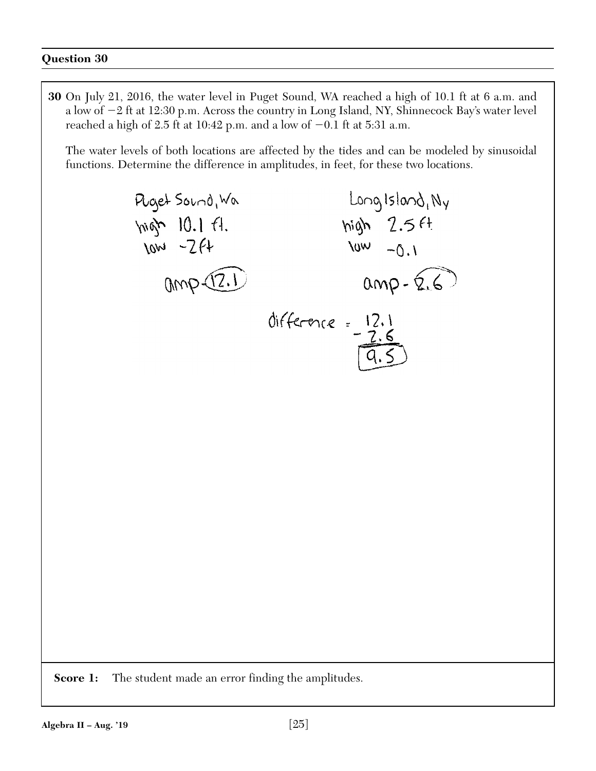**30** On July 21, 2016, the water level in Puget Sound, WA reached a high of 10.1 ft at 6 a.m. and a low of -2 ft at 12:30 p.m. Across the country in Long Island, NY, Shinnecock Bay's water level reached a high of 2.5 ft at 10:42 p.m. and a low of  $-0.1$  ft at 5:31 a.m.

The water levels of both locations are affected by the tides and can be modeled by sinusoidal functions. Determine the difference in amplitudes, in feet, for these two locations.



**Score 1:** The student made an error finding the amplitudes.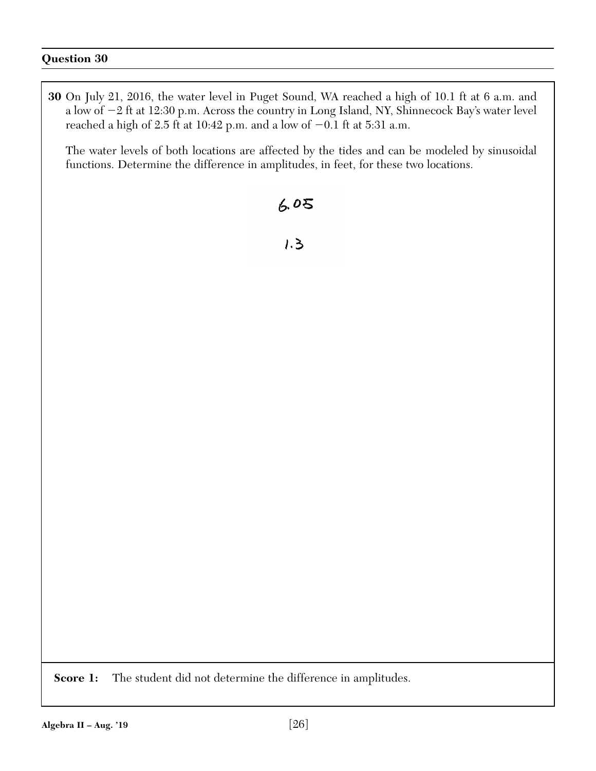**30** On July 21, 2016, the water level in Puget Sound, WA reached a high of 10.1 ft at 6 a.m. and a low of -2 ft at 12:30 p.m. Across the country in Long Island, NY, Shinnecock Bay's water level reached a high of 2.5 ft at 10:42 p.m. and a low of  $-0.1$  ft at 5:31 a.m.

The water levels of both locations are affected by the tides and can be modeled by sinusoidal functions. Determine the difference in amplitudes, in feet, for these two locations.

# $6.05$

 $1.3$ 

Score 1: The student did not determine the difference in amplitudes.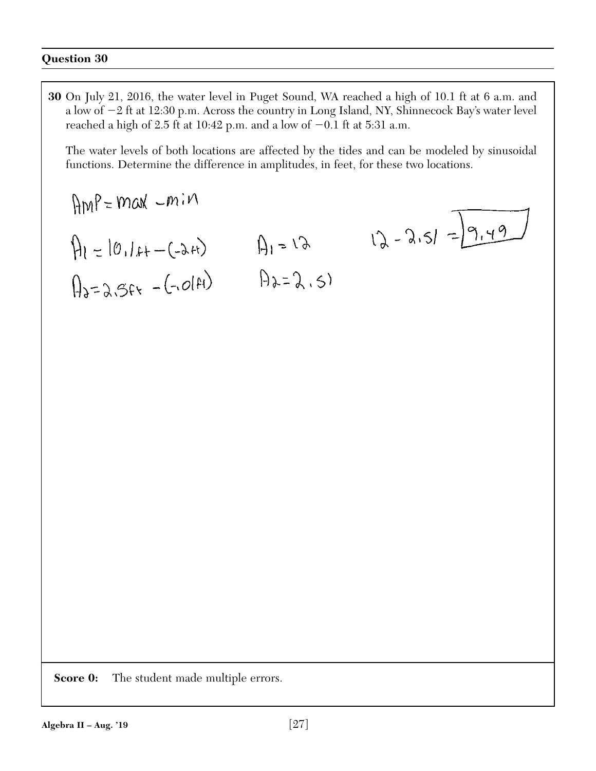**30** On July 21, 2016, the water level in Puget Sound, WA reached a high of 10.1 ft at 6 a.m. and a low of -2 ft at 12:30 p.m. Across the country in Long Island, NY, Shinnecock Bay's water level reached a high of 2.5 ft at 10:42 p.m. and a low of  $-0.1$  ft at 5:31 a.m.

The water levels of both locations are affected by the tides and can be modeled by sinusoidal functions. Determine the difference in amplitudes, in feet, for these two locations.

$$
limP=max -min
$$
  
\n $A_1 = 10.1f + -(2f)$   
\n $A_2 = 2.5f + (-2f)$   
\n $A_3 = 2.5f + (-2f)$   
\n $A_4 = 2.5$   
\n $A_5 = 2.5f + (-2f)$ 

**Score 0:** The student made multiple errors.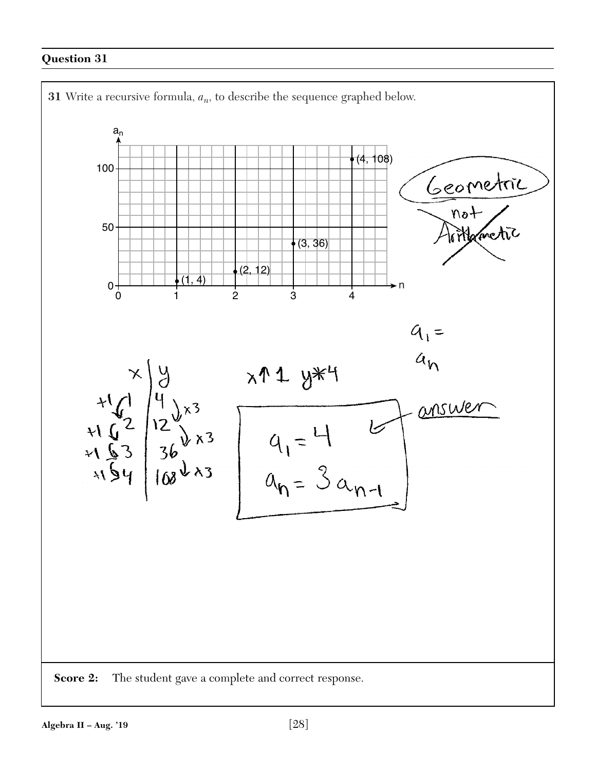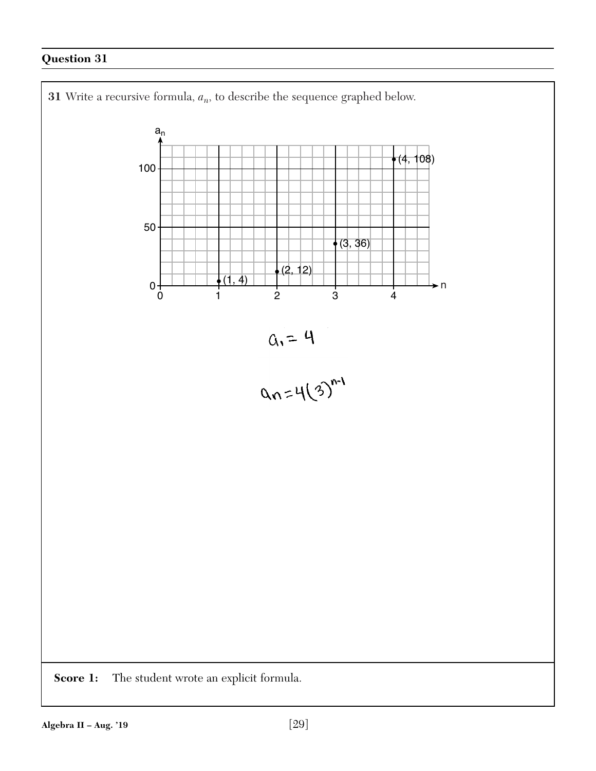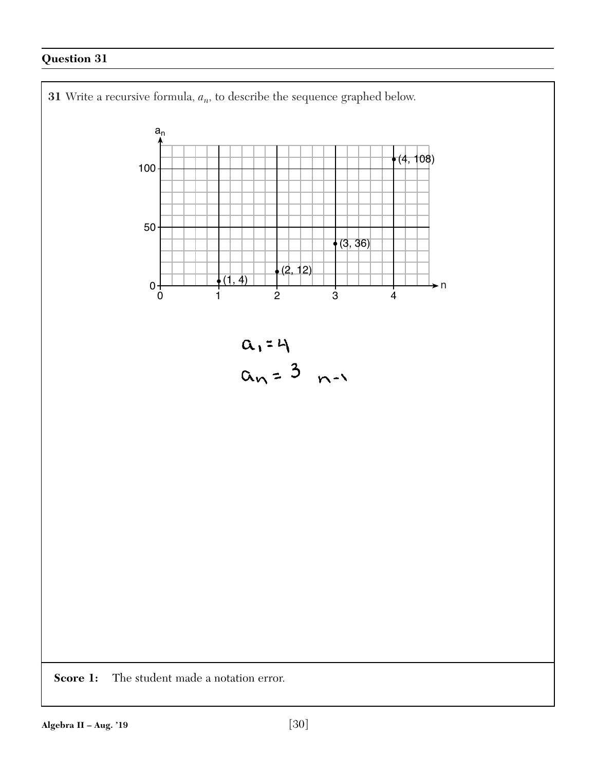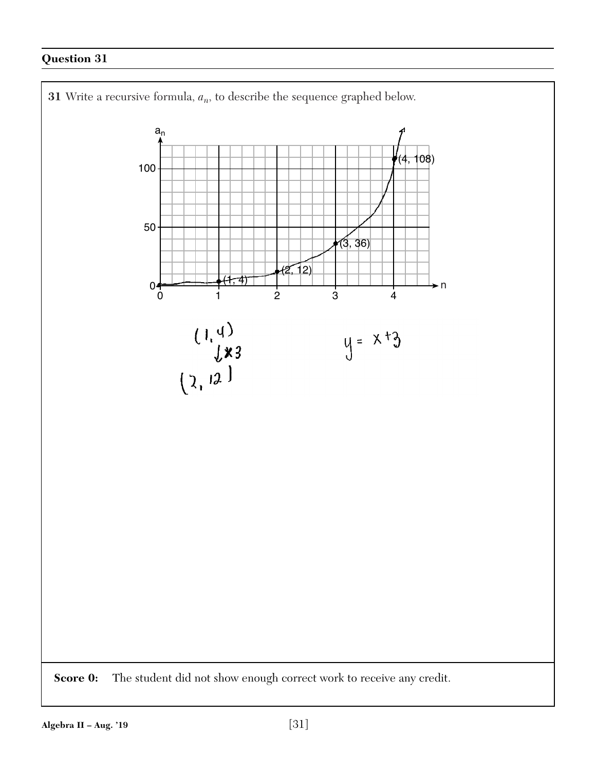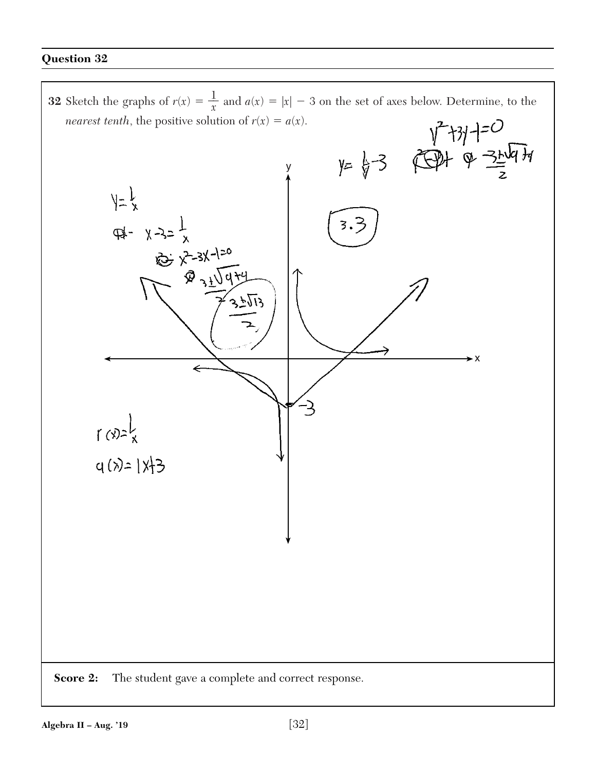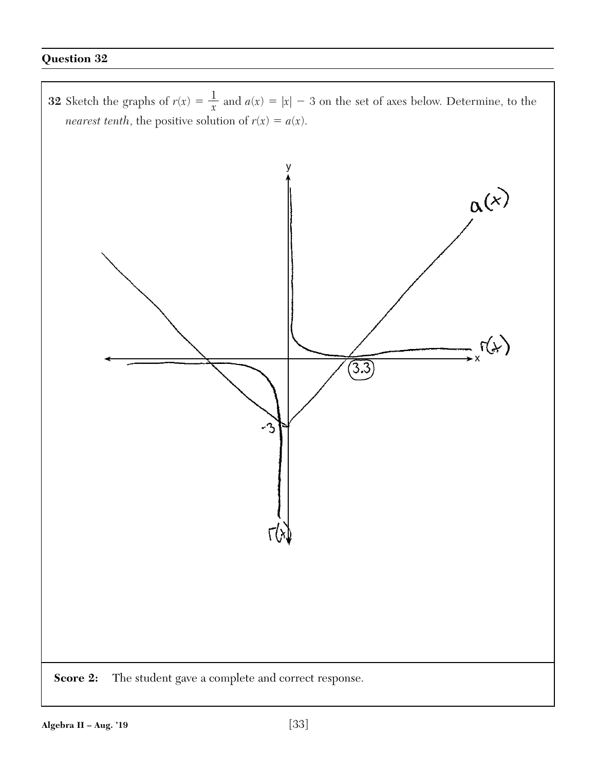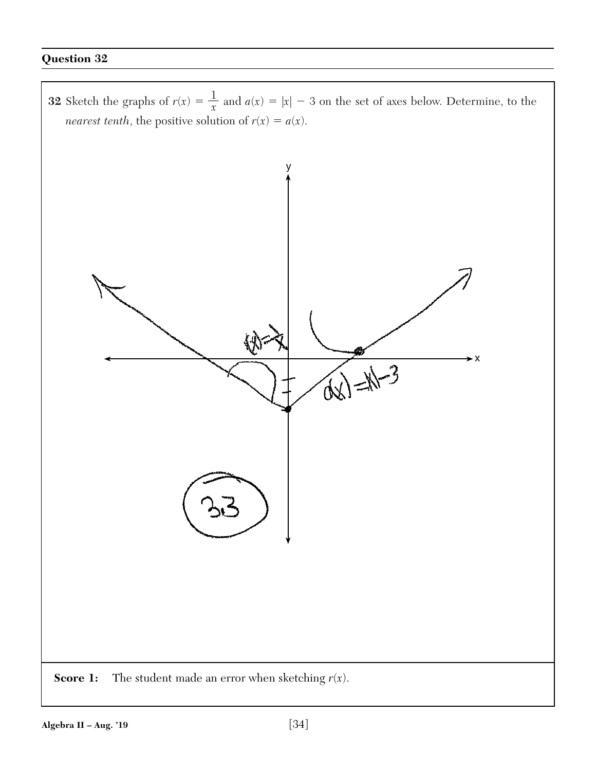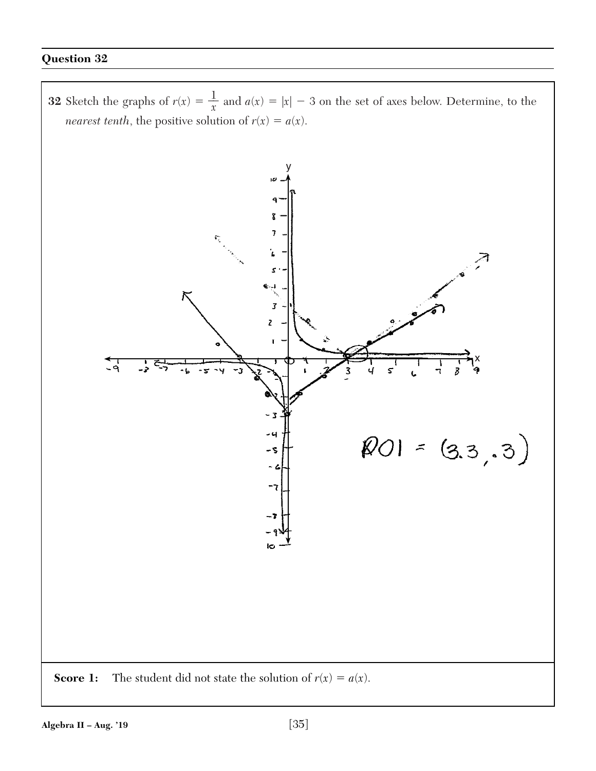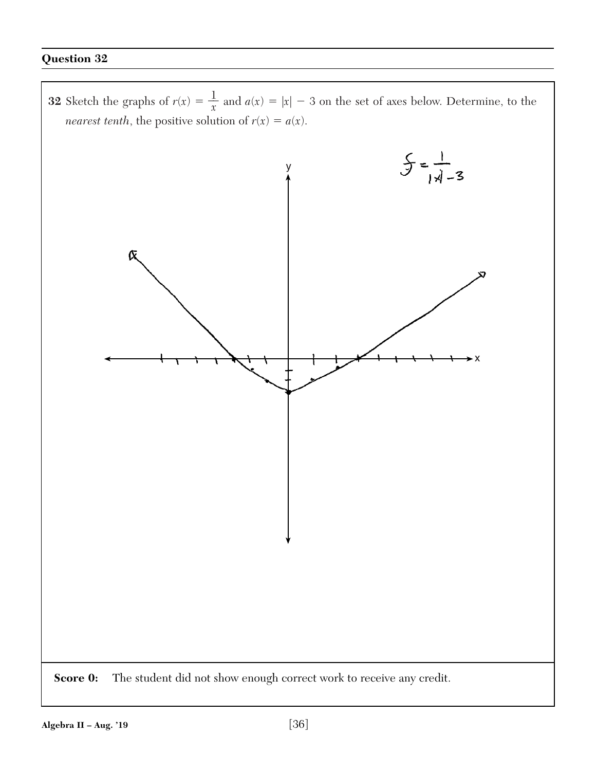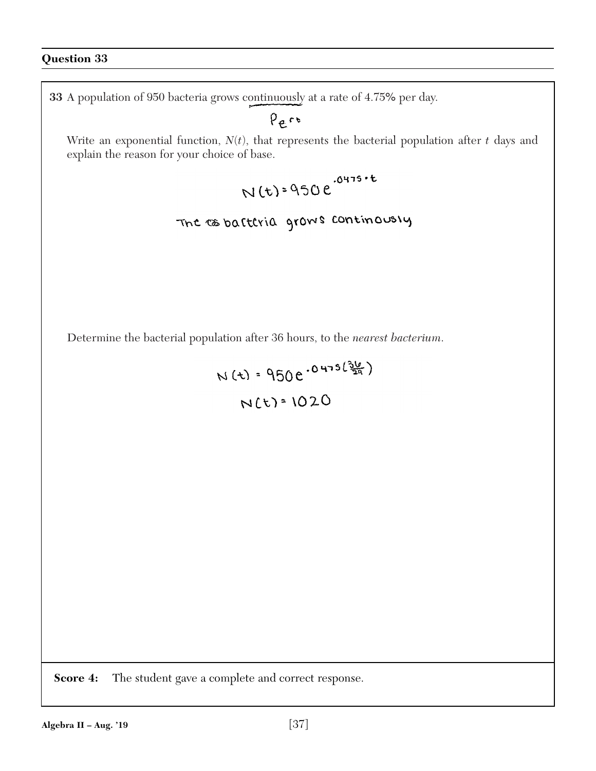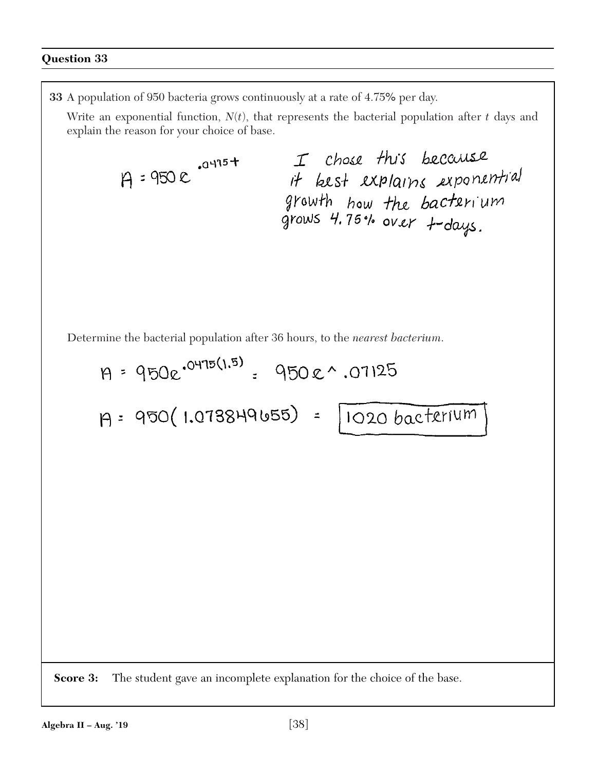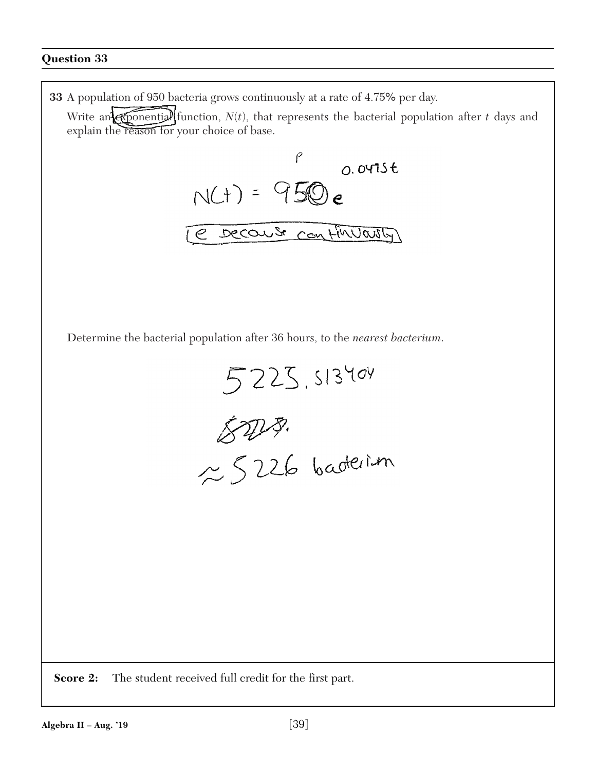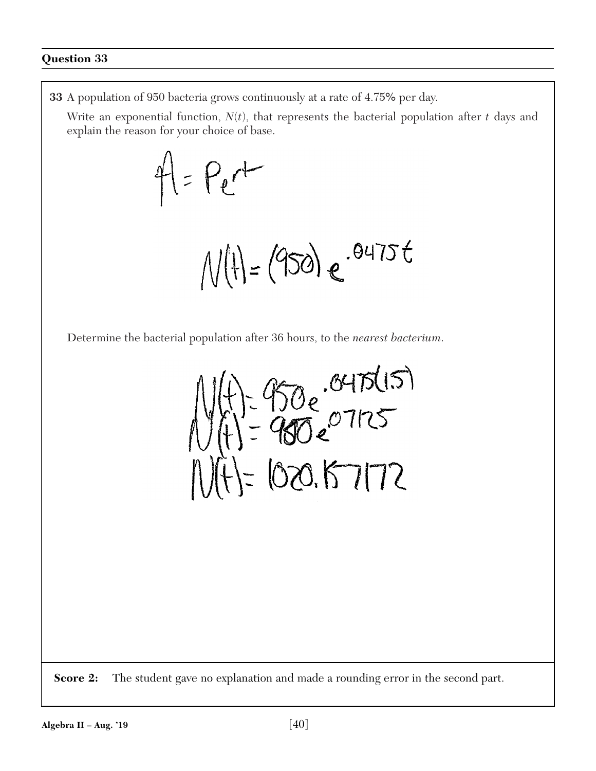**33** A population of 950 bacteria grows continuously at a rate of 4.75% per day.

Write an exponential function,  $N(t)$ , that represents the bacterial population after  $t$  days and explain the reason for your choice of base.



 $N(t) = (950) e^{-0475t}$ 

Determine the bacterial population after 36 hours, to the *nearest bacterium*.

- 950e .0475(15)  $E(020.67172)$ 

**Score 2:** The student gave no explanation and made a rounding error in the second part.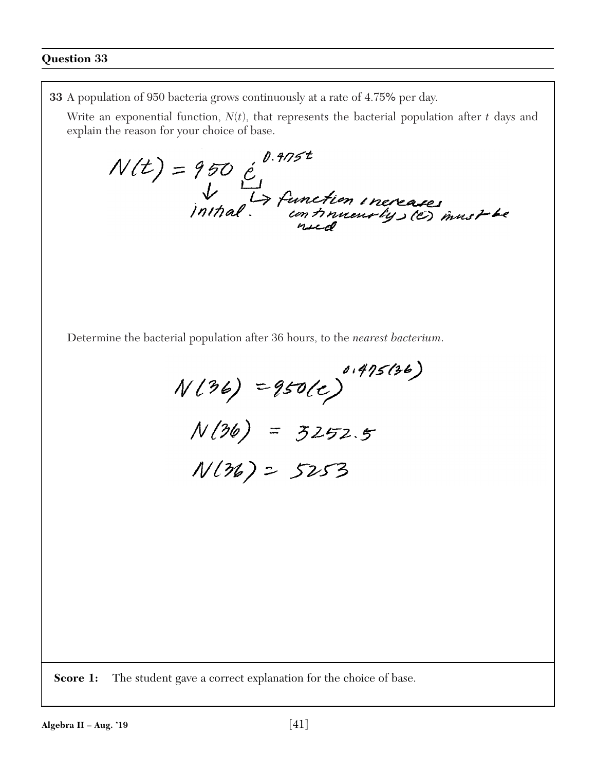**33** A population of 950 bacteria grows continuously at a rate of 4.75% per day.

Write an exponential function,  $N(t)$ , that represents the bacterial population after  $t$  days and explain the reason for your choice of base.

 $N(t) = 950$  é  $\bigcup_{m}^{0.975t}$  function increases

Determine the bacterial population after 36 hours, to the *nearest bacterium*.

 $N(36) = 950(e)^{0.475(36)}$  $N(36) = 3252.5$  $N(36) = 5253$ 

**Score 1:** The student gave a correct explanation for the choice of base.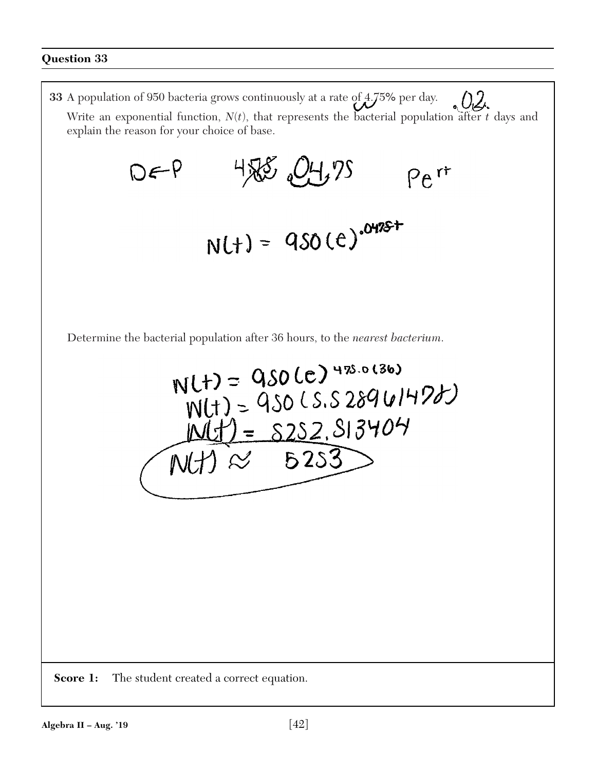**33** A population of 950 bacteria grows continuously at a rate of 4.75% per day.  $0.2.$ Write an exponential function,  $N(t)$ , that represents the bacterial population after  $t$  days and explain the reason for your choice of base. DEP 458 04,75  $Pe^{rt}$  $N(t) = 950(t)^{0475t}$ Determine the bacterial population after 36 hours, to the *nearest bacterium*.  $N(t) = QSO(c)^{475.0(36)}$  $J(t) = 950$  CS.S 28961478)  $M(t) = 8252.813404$  $5253$  $\sim$ **Score 1:** The student created a correct equation.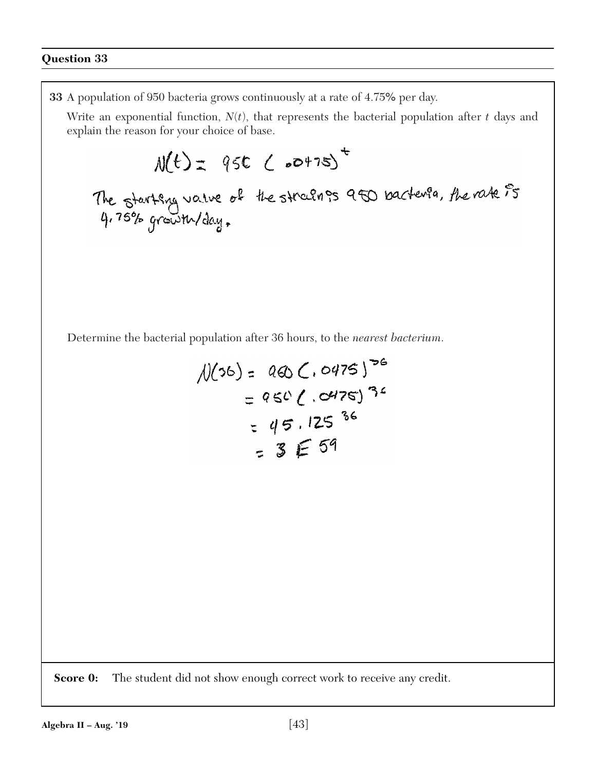**33** A population of 950 bacteria grows continuously at a rate of 4.75% per day. Write an exponential function, *N*(*t*), that represents the bacterial population after *t* days and explain the reason for your choice of base.  $M(t) = 95C (60475)^{t}$ The starting value of the strains are bactivia, the rate is Determine the bacterial population after 36 hours, to the *nearest bacterium*.  $N(36) = 000 C.0475$ <sup>36</sup>  $= 950 (0.0475)^{32}$  $= 45.125$  36  $=3E59$ **Score 0:** The student did not show enough correct work to receive any credit. **Algebra II – Aug. '19** [43]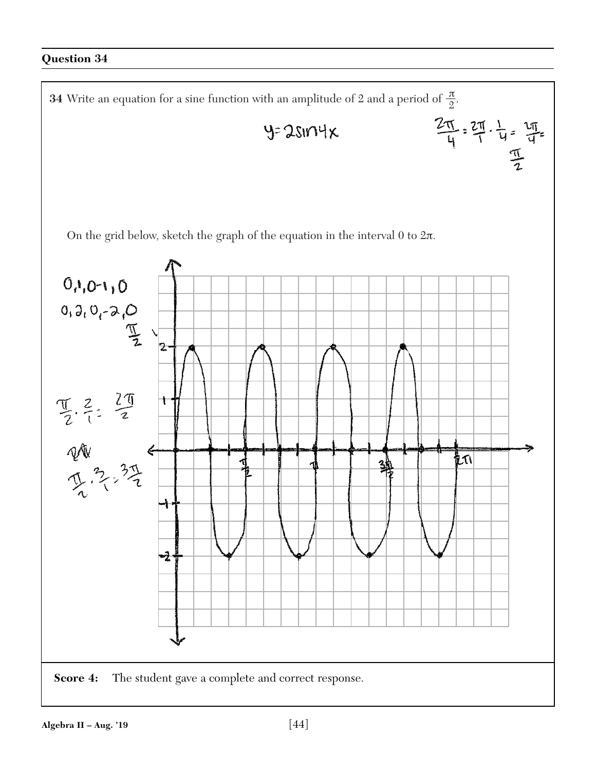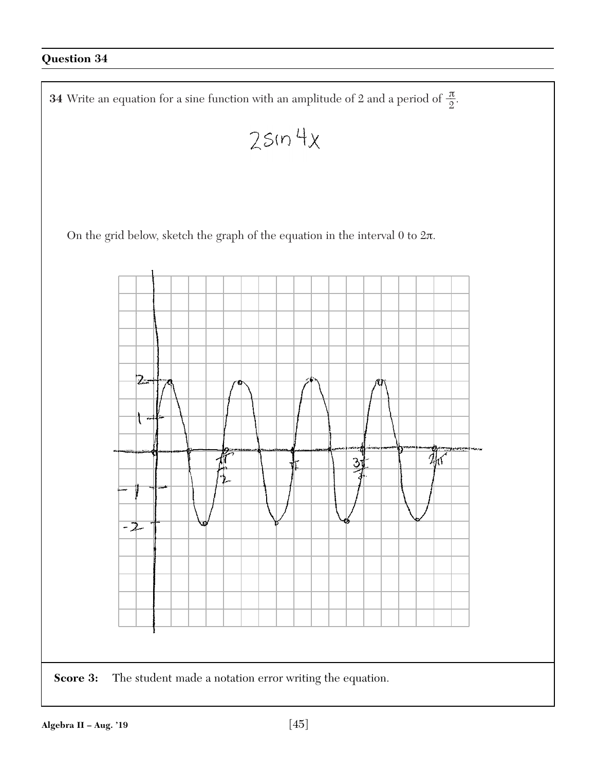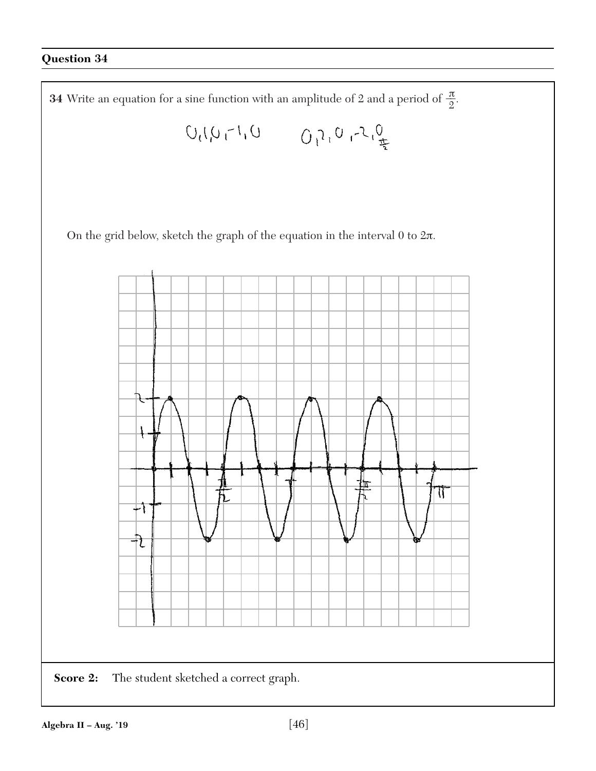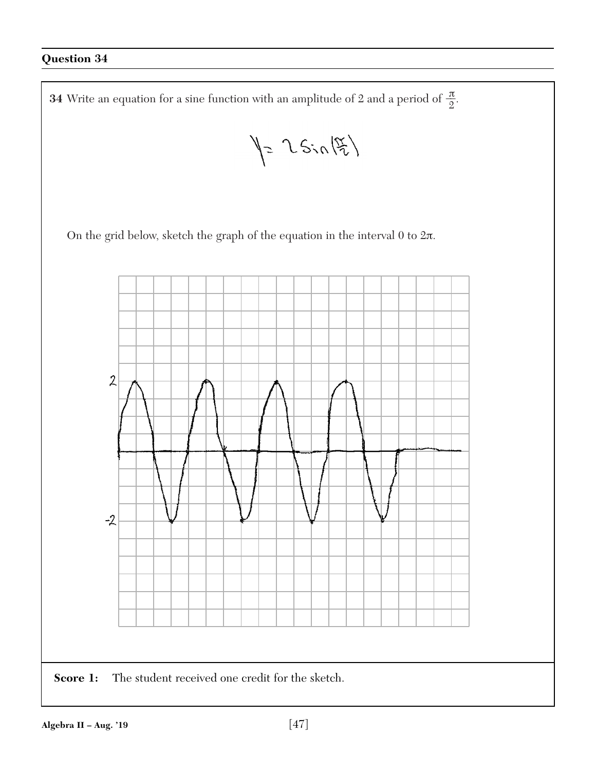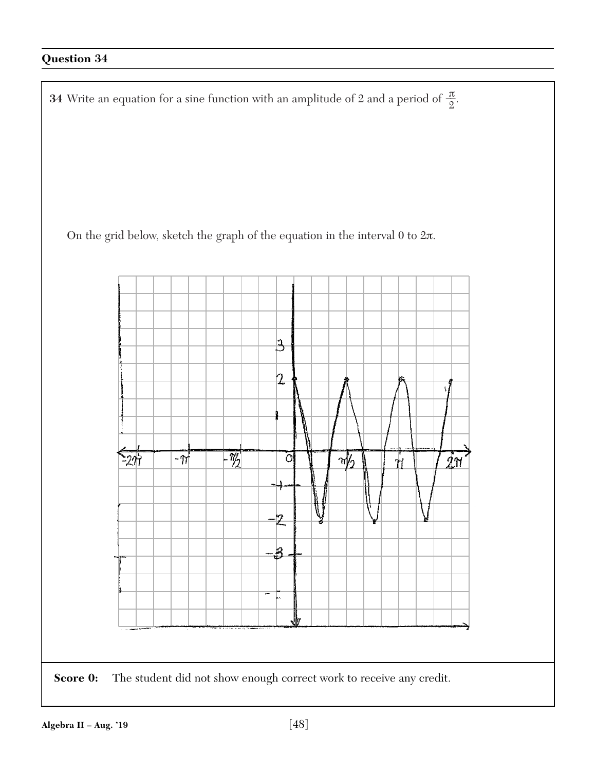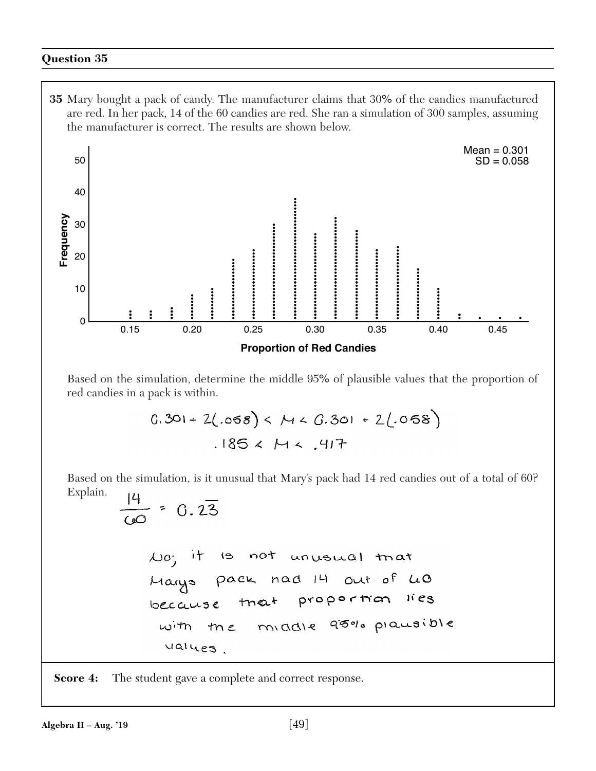**35** Mary bought a pack of candy. The manufacturer claims that 30% of the candies manufactured are red. In her pack, 14 of the 60 candies are red. She ran a simulation of 300 samples, assuming the manufacturer is correct. The results are shown below.



Based on the simulation, determine the middle 95% of plausible values that the proportion of red candies in a pack is within.

$$
0.301 + 2(.058) < M < 0.301 + 2(.058)
$$
\n
$$
.185 < M < .417
$$

Based on the simulation, is it unusual that Mary's pack had 14 red candies out of a total of 60? Explain.  $\overline{1}$ 

$$
\frac{1}{100} = 0.23
$$
\n  
\n
$$
\frac{100}{100} = 0.23
$$
\n  
\n
$$
\frac{100}{100} = 100
$$
\n
$$
\frac{100}{100} = 100
$$
\n
$$
\frac{100}{100} = 100
$$
\n
$$
\frac{100}{100} = 100
$$
\n
$$
\frac{100}{100} = 100
$$
\n
$$
\frac{100}{100} = 100
$$
\n
$$
\frac{100}{100} = 100
$$
\n
$$
\frac{100}{100} = 100
$$
\n
$$
\frac{100}{100} = 100
$$
\n
$$
\frac{100}{100} = 100
$$
\n
$$
\frac{100}{100} = 100
$$
\n
$$
\frac{100}{100} = 100
$$
\n
$$
\frac{100}{100} = 100
$$
\n
$$
\frac{100}{100} = 100
$$
\n
$$
\frac{100}{100} = 100
$$
\n
$$
\frac{100}{100} = 100
$$
\n
$$
\frac{100}{100} = 100
$$
\n
$$
\frac{100}{100} = 100
$$
\n
$$
\frac{100}{100} = 100
$$
\n
$$
\frac{100}{100} = 100
$$
\n
$$
\frac{100}{100} = 100
$$
\n
$$
\frac{100}{100} = 100
$$
\n
$$
\frac{100}{100} = 100
$$
\n
$$
\frac{100}{100} = 100
$$
\n
$$
\frac{100}{100} = 100
$$
\n
$$
\frac{100}{100} = 100
$$
\n
$$
\frac{100}{100} = 100
$$
\n
$$
\frac{100}{100} = 100
$$
\n
$$
\frac{1
$$

**Score 4:** The student gave a complete and correct response.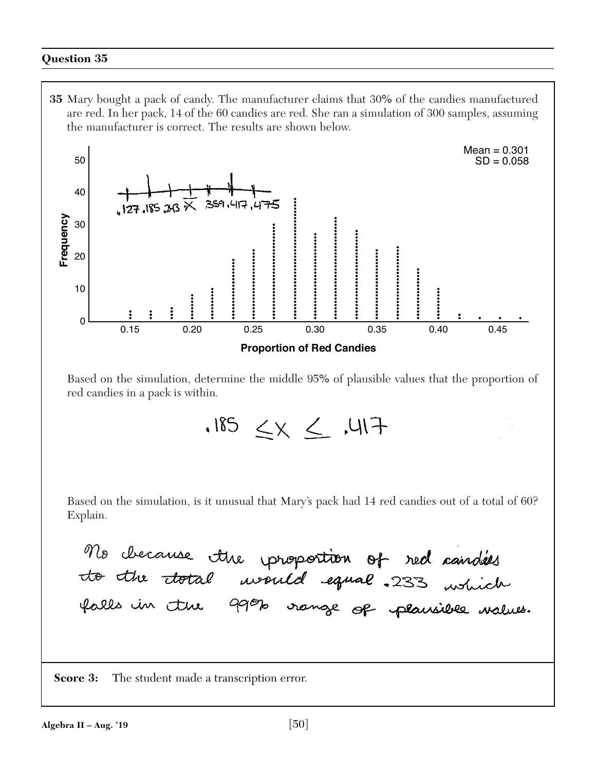**35** Mary bought a pack of candy. The manufacturer claims that 30% of the candies manufactured are red. In her pack, 14 of the 60 candies are red. She ran a simulation of 300 samples, assuming the manufacturer is correct. The results are shown below.



Based on the simulation, determine the middle 95% of plausible values that the proportion of red candies in a pack is within.

 $-FIII.$   $\geq$   $\times$   $\geq$   $H.$ 

Based on the simulation, is it unusual that Mary's pack had 14 red candies out of a total of 60? Explain.

No checause the proportion of red candides<br>to the total would equal .233 which

**Score 3:** The student made a transcription error.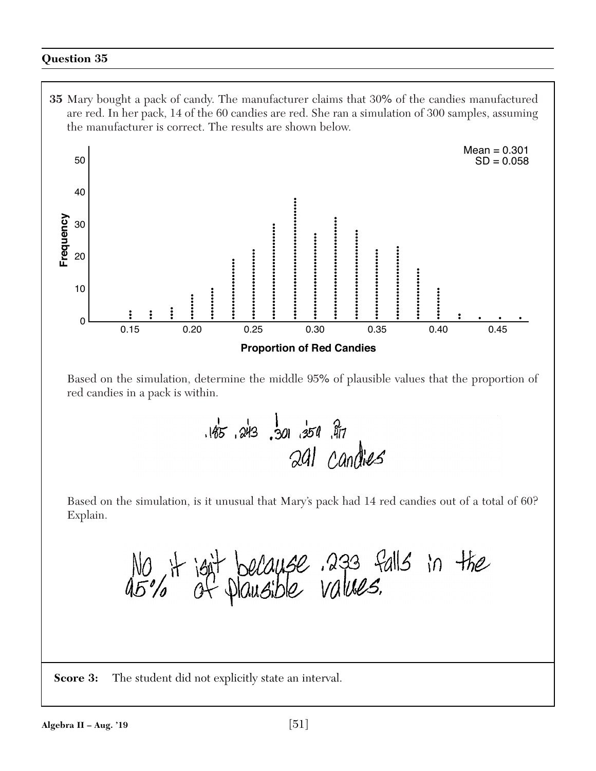**35** Mary bought a pack of candy. The manufacturer claims that 30% of the candies manufactured are red. In her pack, 14 of the 60 candies are red. She ran a simulation of 300 samples, assuming the manufacturer is correct. The results are shown below.



Based on the simulation, determine the middle 95% of plausible values that the proportion of red candies in a pack is within.

> $.185.243.301.354.77$ 291 candids

Based on the simulation, is it unusual that Mary's pack had 14 red candies out of a total of 60? Explain.

No it joit because 233 falls in the

**Score 3:** The student did not explicitly state an interval.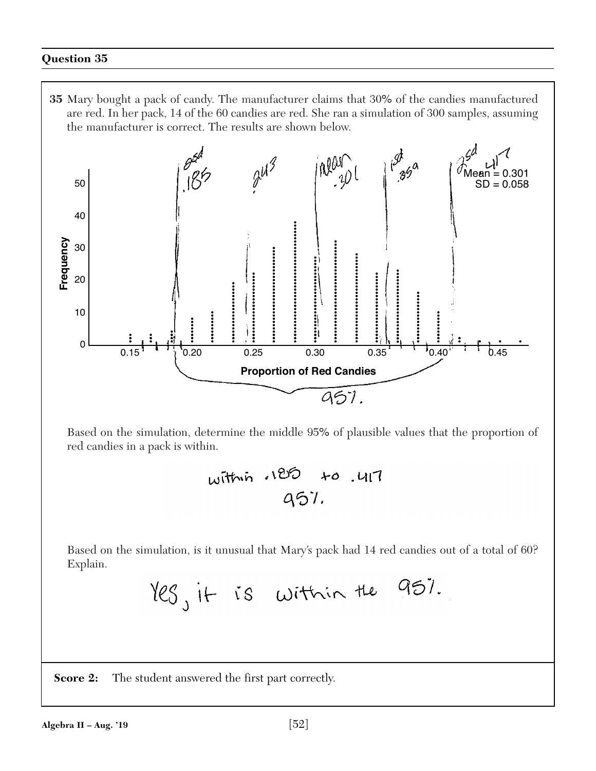**35** Mary bought a pack of candy. The manufacturer claims that 30% of the candies manufactured are red. In her pack, 14 of the 60 candies are red. She ran a simulation of 300 samples, assuming the manufacturer is correct. The results are shown below.



Based on the simulation, determine the middle 95% of plausible values that the proportion of red candies in a pack is within.

| within 185 to 417 |  |
|-------------------|--|
| 957.              |  |

Based on the simulation, is it unusual that Mary's pack had 14 red candies out of a total of 60? Explain.

**Score 2:** The student answered the first part correctly.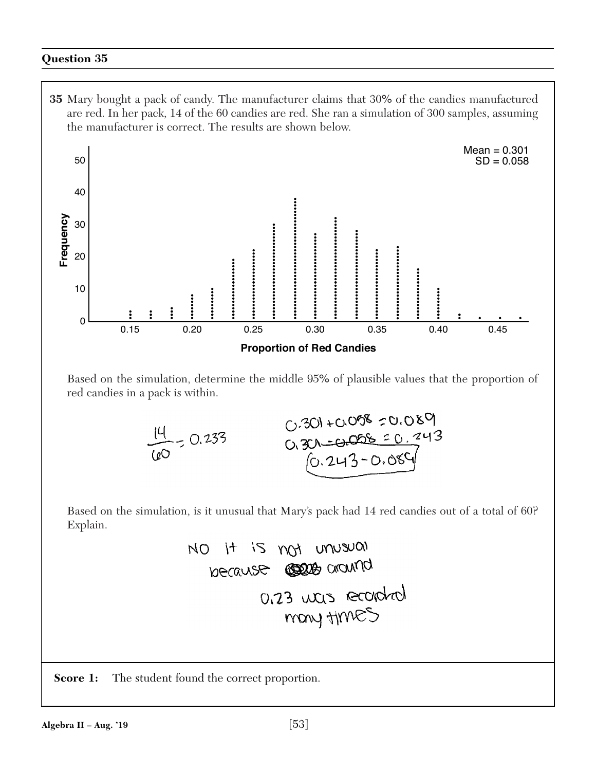**35** Mary bought a pack of candy. The manufacturer claims that 30% of the candies manufactured are red. In her pack, 14 of the 60 candies are red. She ran a simulation of 300 samples, assuming the manufacturer is correct. The results are shown below.



Based on the simulation, determine the middle 95% of plausible values that the proportion of red candies in a pack is within.

$$
\frac{14}{100} = 0.233
$$
\n
$$
\frac{0.301 + 0.058}{0.301 - 0.058} = 0.089
$$
\n
$$
\frac{0.301 - 0.058}{0.243 - 0.089}
$$

Based on the simulation, is it unusual that Mary's pack had 14 red candies out of a total of 60? Explain.

**Score 1:** The student found the correct proportion.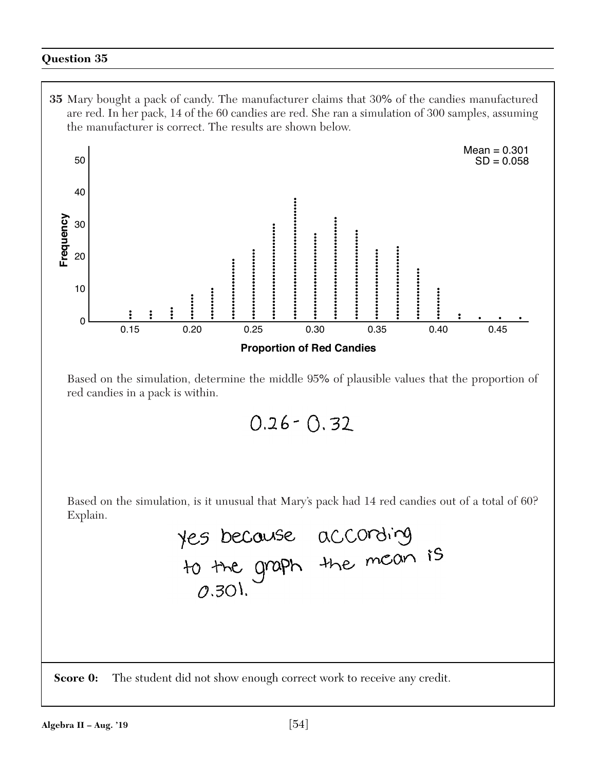**35** Mary bought a pack of candy. The manufacturer claims that 30% of the candies manufactured are red. In her pack, 14 of the 60 candies are red. She ran a simulation of 300 samples, assuming the manufacturer is correct. The results are shown below.



Based on the simulation, determine the middle 95% of plausible values that the proportion of red candies in a pack is within.

 $0.26 - 0.32$ 

Based on the simulation, is it unusual that Mary's pack had 14 red candies out of a total of 60? Explain.

> yes because according<br>to the graph the mean is  $(0,30)$ .

**Score 0:** The student did not show enough correct work to receive any credit.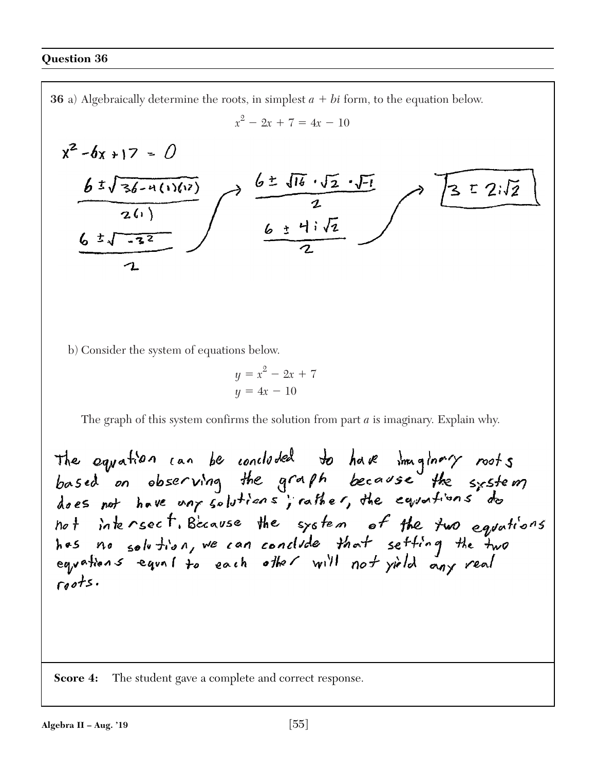**36** a) Algebraically determine the roots, in simplest  $a + bi$  form, to the equation below.  $x^2 - 2x + 7 = 4x - 10$  $x^2 - 6x + 17 = 0$  $363\sqrt{62.51}$ <br>  $634\sqrt{2}$  $\frac{65\sqrt{36-4(1)(12)}}{2(1)}$  $32\sqrt{2}$  $6 \frac{1}{122}$ b) Consider the system of equations below.

> $y = x^2 - 2x + 7$  $y = 4x - 10$

The graph of this system confirms the solution from part *a* is imaginary. Explain why.

The equation can be concluded to have imaginary roots<br>based on observing the graph because the system not intersect. Because the system of the two equations<br>has no solution, we can conclude that setting the two<br>equations equal to each other will not yield any real  $roots.$ 

**Score 4:** The student gave a complete and correct response.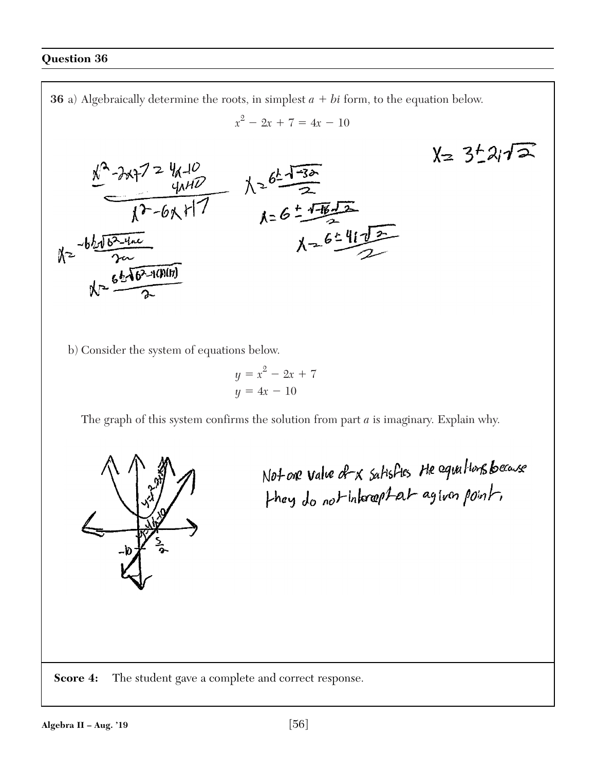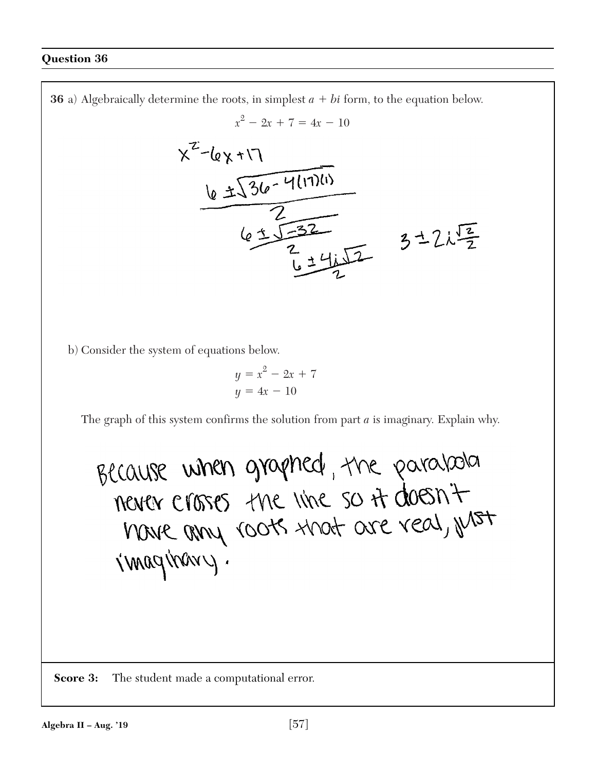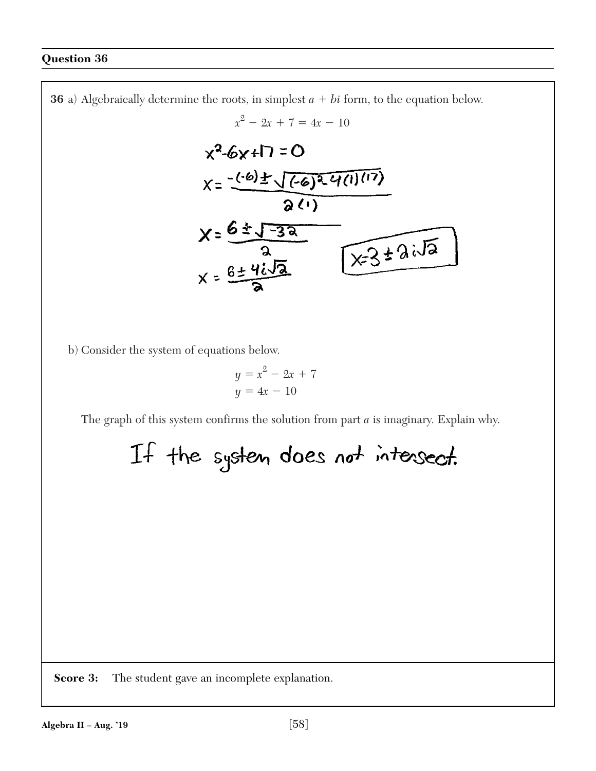

**Score 3:** The student gave an incomplete explanation.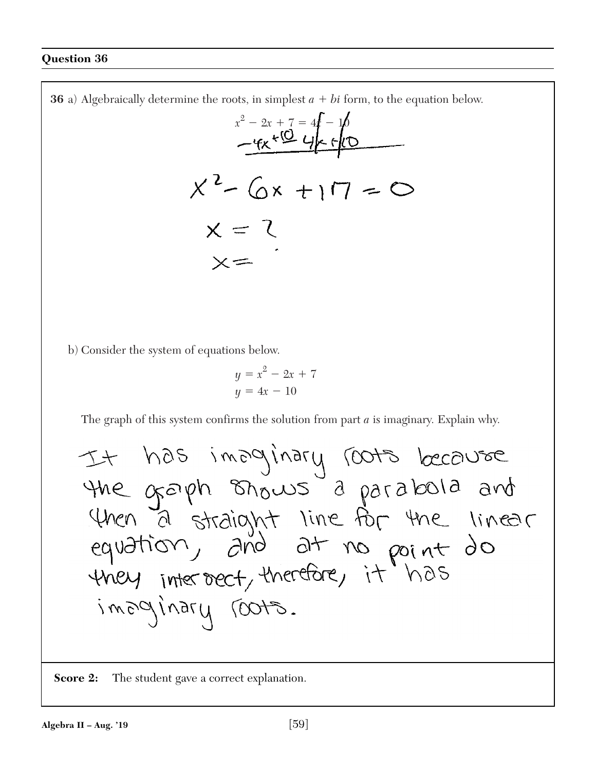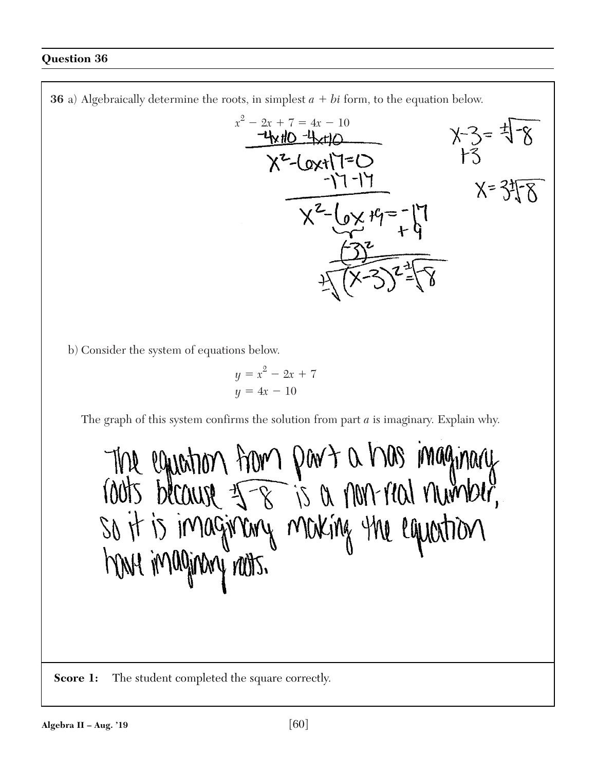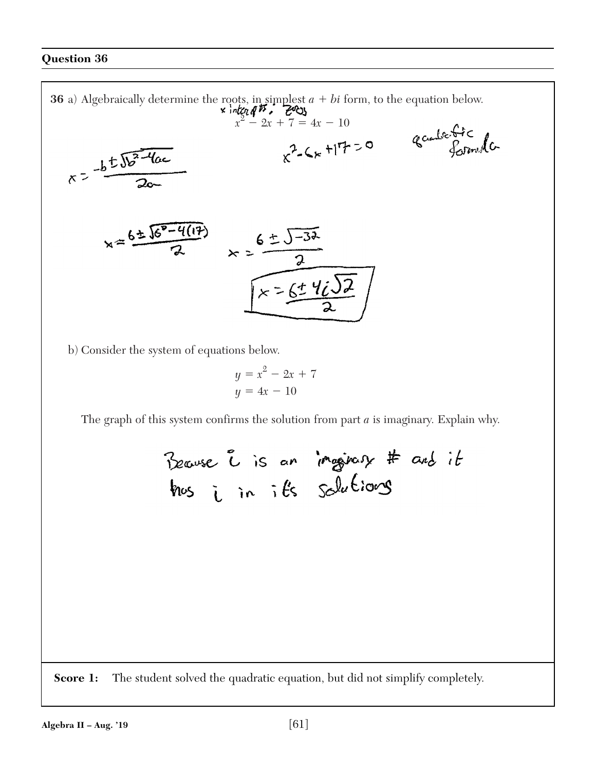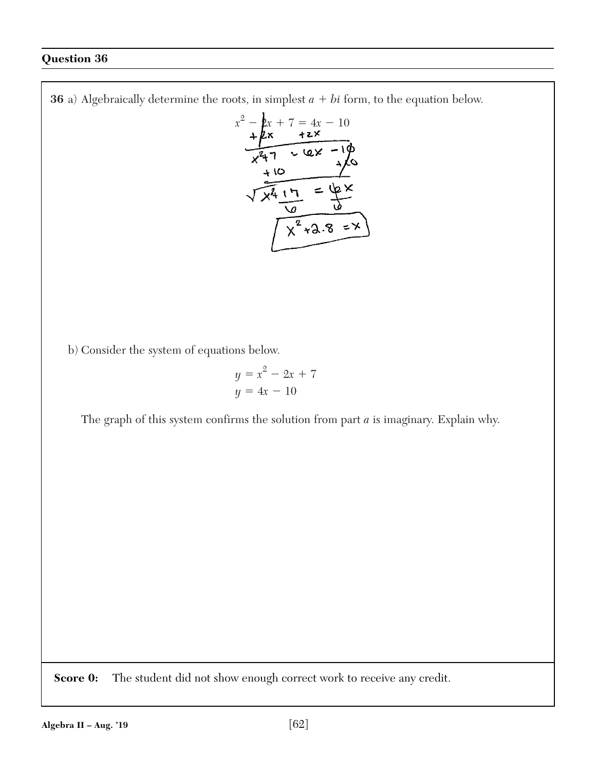**36** a) Algebraically determine the roots, in simplest  $a + bi$  form, to the equation below.

$$
x^{2}-2x+7=4x-10
$$
\n
$$
x^{2}-2x+7=4x-10
$$
\n
$$
x^{2}+7=4x-10
$$
\n
$$
x^{2}+7=4x-10
$$
\n
$$
x^{2}+7=4x-10
$$
\n
$$
x^{2}+7=4x-10
$$
\n
$$
x^{2}+3.8=1
$$

b) Consider the system of equations below.

$$
y = x^2 - 2x + 7
$$

$$
y = 4x - 10
$$

The graph of this system confirms the solution from part *a* is imaginary. Explain why.

**Score 0:** The student did not show enough correct work to receive any credit.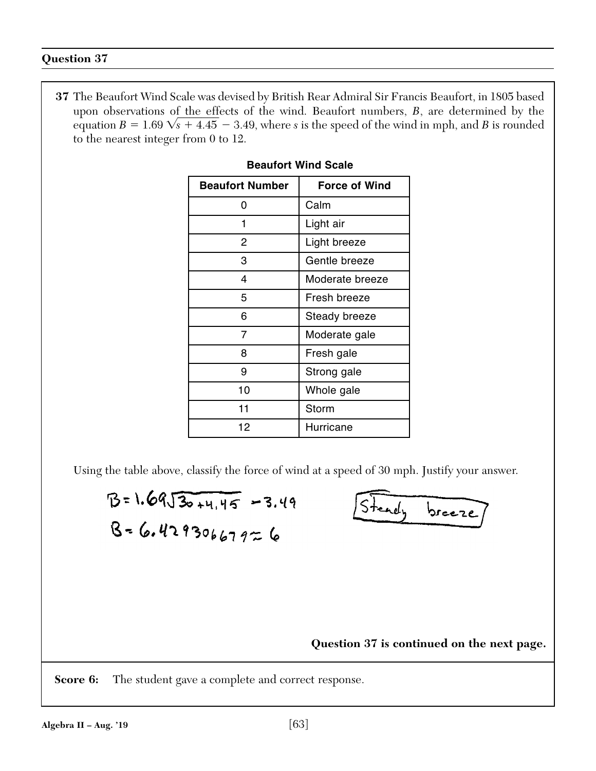**37** The Beaufort Wind Scale was devised by British Rear Admiral Sir Francis Beaufort, in 1805 based upon observations of the effects of the wind. Beaufort numbers, *B*, are determined by the equation  $B = 1.69 \sqrt{s} + 4.45 - 3.49$ , where *s* is the speed of the wind in mph, and *B* is rounded to the nearest integer from 0 to 12.

| <b>Beaufort Number</b> | <b>Force of Wind</b> |
|------------------------|----------------------|
| O                      | Calm                 |
| 1                      | Light air            |
| 2                      | Light breeze         |
| 3                      | Gentle breeze        |
| 4                      | Moderate breeze      |
| 5                      | Fresh breeze         |
| 6                      | Steady breeze        |
| 7                      | Moderate gale        |
| 8                      | Fresh gale           |
| 9                      | Strong gale          |
| 10                     | Whole gale           |
| 11                     | Storm                |
| 12                     | Hurricane            |

# **Beaufort Wind Scale**

Using the table above, classify the force of wind at a speed of 30 mph. Justify your answer.

$$
B = 1.69\sqrt{30 + 4.45} = 3.49
$$
  

$$
B = 6.42930667926
$$

Steady breeze

**Question 37 is continued on the next page.**

**Score 6:** The student gave a complete and correct response.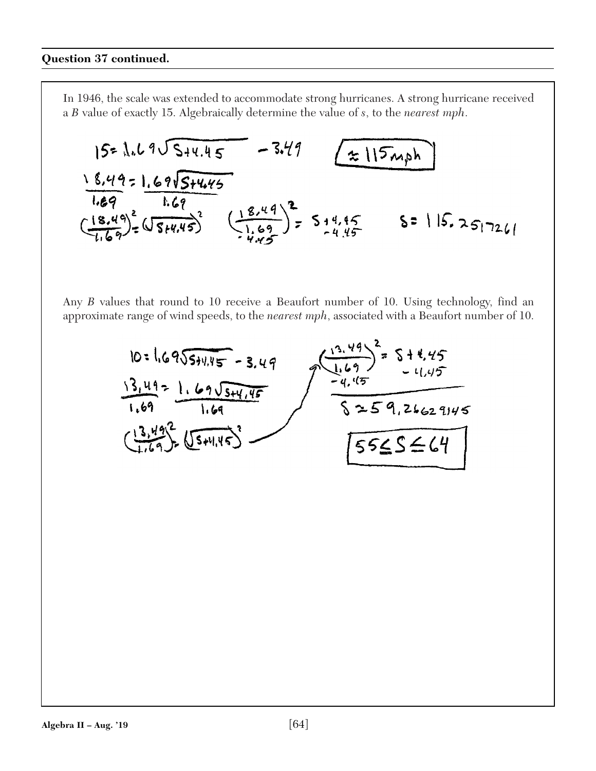In 1946, the scale was extended to accommodate strong hurricanes. A strong hurricane received a *B* value of exactly 15. Algebraically determine the value of *s*, to the *nearest mph*.

$$
15=1.69\sqrt{5+4.45} - 3.49
$$
\n
$$
\frac{18.49}{1.69} \cdot \frac{1.69\sqrt{5+4.45}}{1.69}
$$
\n
$$
\left(\frac{18.49}{1.69}\right)^{2} \cdot \frac{16.69}{5+4.45}\left(\frac{18.49}{1.69}\right)^{2} = 5.44.45
$$
\n
$$
5 = |15.25|726
$$

Any *B* values that round to 10 receive a Beaufort number of 10. Using technology, find an approximate range of wind speeds, to the *nearest mph*, associated with a Beaufort number of 10.

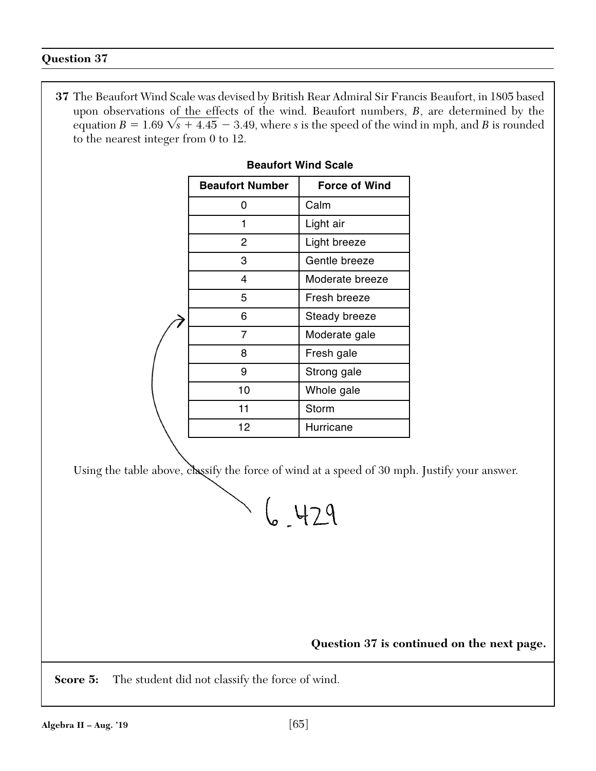**37** The Beaufort Wind Scale was devised by British Rear Admiral Sir Francis Beaufort, in 1805 based upon observations of the effects of the wind. Beaufort numbers, *B*, are determined by the equation  $B = 1.69 \sqrt{s} + 4.45 - 3.49$ , where *s* is the speed of the wind in mph, and *B* is rounded to the nearest integer from 0 to 12.

| <b>Beaufort Number</b> | <b>Force of Wind</b> |
|------------------------|----------------------|
| O                      | Calm                 |
| 1                      | Light air            |
| 2                      | Light breeze         |
| 3                      | Gentle breeze        |
| 4                      | Moderate breeze      |
| 5                      | Fresh breeze         |
| 6                      | Steady breeze        |
| 7                      | Moderate gale        |
| 8                      | Fresh gale           |
| 9                      | Strong gale          |
| 10                     | Whole gale           |
| 11                     | Storm                |
| 12                     | Hurricane            |
|                        |                      |

# **Beaufort Wind Scale**

Using the table above, classify the force of wind at a speed of 30 mph. Justify your answer.

 $6 - 429$ 

**Question 37 is continued on the next page.**

**Score 5:** The student did not classify the force of wind.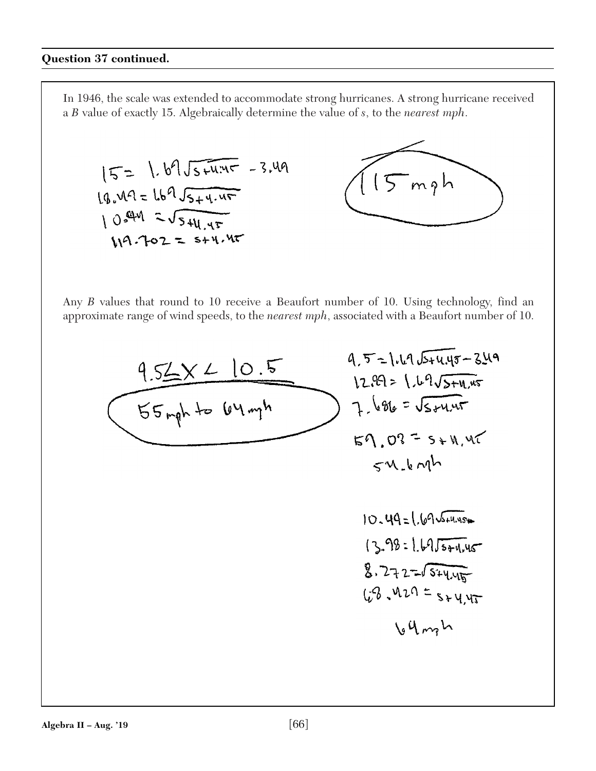In 1946, the scale was extended to accommodate strong hurricanes. A strong hurricane received a *B* value of exactly 15. Algebraically determine the value of *s*, to the *nearest mph*.

$$
15 = 1.69\sqrt{5 + 4.45} = 3.49
$$
  
\n $19.49 = 169\sqrt{5 + 4.45}$   
\n $10.449 = \sqrt{5 + 4.45}$   
\n $19.702 = 5 + 4.45$ 

$$
\left(\overbrace{15_{mgh}}^{15_{mgh}}\right)
$$

Any *B* values that round to 10 receive a Beaufort number of 10. Using technology, find an approximate range of wind speeds, to the *nearest mph*, associated with a Beaufort number of 10.

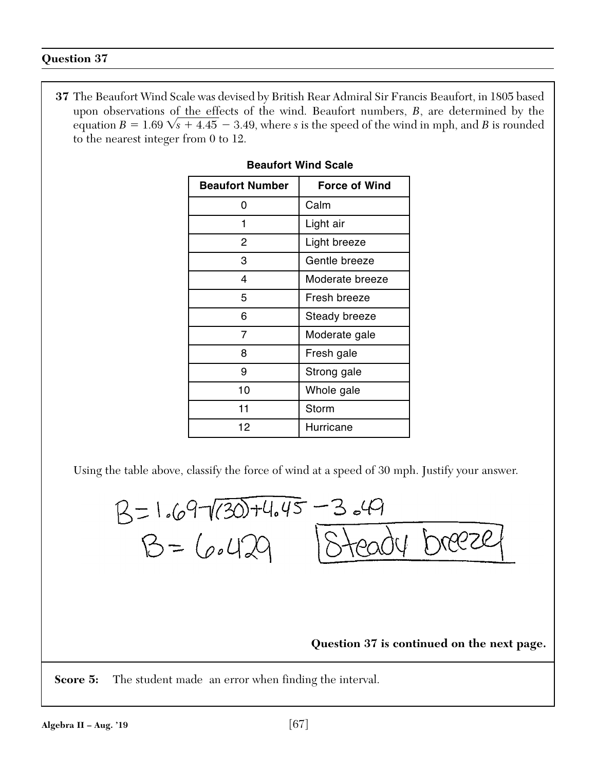**37** The Beaufort Wind Scale was devised by British Rear Admiral Sir Francis Beaufort, in 1805 based upon observations of the effects of the wind. Beaufort numbers, *B*, are determined by the equation  $B = 1.69 \sqrt{s} + 4.45 - 3.49$ , where *s* is the speed of the wind in mph, and *B* is rounded to the nearest integer from 0 to 12.

| <b>Beaufort Number</b> | <b>Force of Wind</b> |
|------------------------|----------------------|
| ი                      | Calm                 |
| 1                      | Light air            |
| 2                      | Light breeze         |
| 3                      | Gentle breeze        |
| 4                      | Moderate breeze      |
| 5                      | Fresh breeze         |
| 6                      | Steady breeze        |
| 7                      | Moderate gale        |
| 8                      | Fresh gale           |
| 9                      | Strong gale          |
| 10                     | Whole gale           |
| 11                     | Storm                |
| 12                     | Hurricane            |

# **Beaufort Wind Scale**

Using the table above, classify the force of wind at a speed of 30 mph. Justify your answer.



**Score 5:** The student made an error when finding the interval.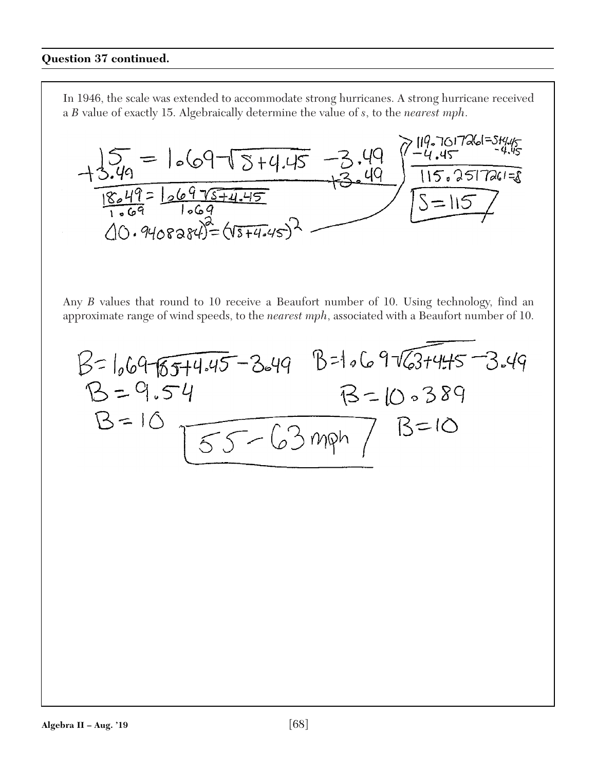In 1946, the scale was extended to accommodate strong hurricanes. A strong hurricane received a *B* value of exactly 15. Algebraically determine the value of *s*, to the *nearest mph*.



Any *B* values that round to 10 receive a Beaufort number of 10. Using technology, find an approximate range of wind speeds, to the *nearest mph*, associated with a Beaufort number of 10.

$$
B = 1.6976574.45 - 3.4915 - 1.697637445 - 3.491697637445 - 3.491697637445 - 3.4916976389
$$
  
B = 10.541169696389  
B = 10.55 - 63 mph 18 = 10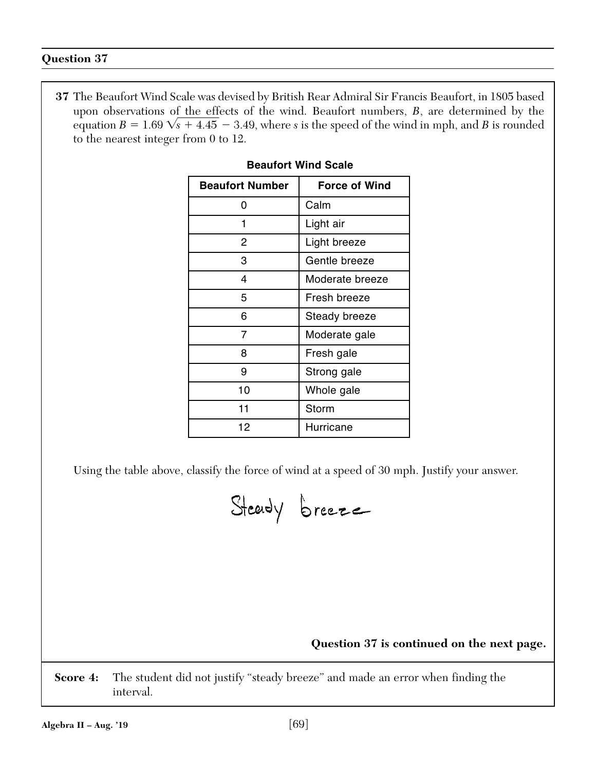**37** The Beaufort Wind Scale was devised by British Rear Admiral Sir Francis Beaufort, in 1805 based upon observations of the effects of the wind. Beaufort numbers, *B*, are determined by the equation  $B = 1.69 \sqrt{s} + 4.45 - 3.49$ , where *s* is the speed of the wind in mph, and *B* is rounded to the nearest integer from 0 to 12.

| <b>Beaufort Number</b> | <b>Force of Wind</b> |
|------------------------|----------------------|
| ŋ                      | Calm                 |
| 1                      | Light air            |
| 2                      | Light breeze         |
| 3                      | Gentle breeze        |
| 4                      | Moderate breeze      |
| 5                      | Fresh breeze         |
| 6                      | Steady breeze        |
| 7                      | Moderate gale        |
| 8                      | Fresh gale           |
| 9                      | Strong gale          |
| 10                     | Whole gale           |
| 11                     | Storm                |
| 12                     | Hurricane            |

# **Beaufort Wind Scale**

Using the table above, classify the force of wind at a speed of 30 mph. Justify your answer.

Steady breeze

**Question 37 is continued on the next page.**

**Score 4:** The student did not justify "steady breeze" and made an error when finding the interval.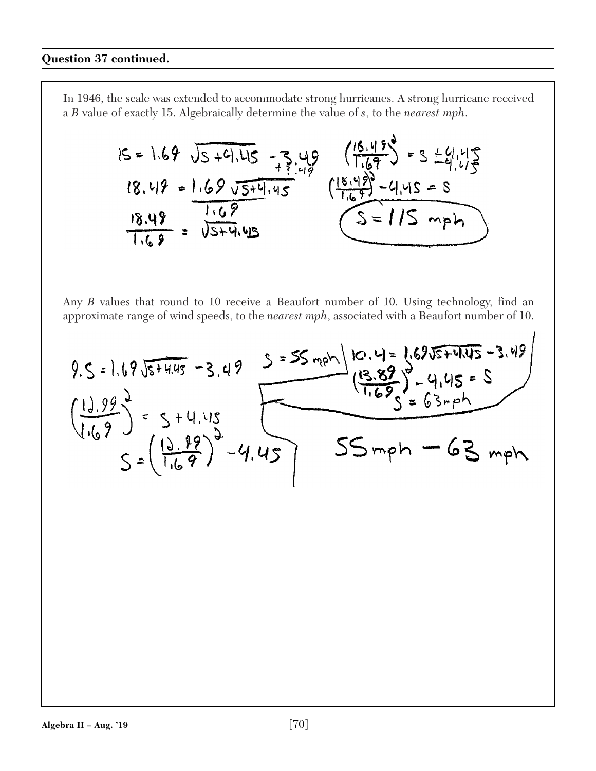In 1946, the scale was extended to accommodate strong hurricanes. A strong hurricane received a *B* value of exactly 15. Algebraically determine the value of *s*, to the *nearest mph*.

$$
15 = 1.69 \sqrt{5+4.415} - 3.49
$$
  
\n $18.49 = 1.69 \sqrt{5+4.45}$   
\n $\frac{18.49}{1.69} = \frac{1.69 \sqrt{5+4.45}}{\sqrt{5+4.45}}$   
\n $\frac{18.49}{1.69} = \frac{1.69 \sqrt{5+4.45}}{\sqrt{5+4.45}}$   
\n $\frac{18.49}{1.69} = \frac{1.69 \sqrt{5+4.45}}{\sqrt{5+4.45}}$ 

Any *B* values that round to 10 receive a Beaufort number of 10. Using technology, find an approximate range of wind speeds, to the *nearest mph*, associated with a Beaufort number of 10.

 $\overline{1}$ 

9.5 = 1.695+4.45 -3.49 5 = 55 mph |10.4= 1.695+4.45 - 3.49  
\n
$$
\frac{(13.99)^{2}}{(1.69)} = 5+4.45
$$
  
\n $5=(\frac{19.89}{1.69})^{2}-4.45$   
\nS = 63 mph - 63 mph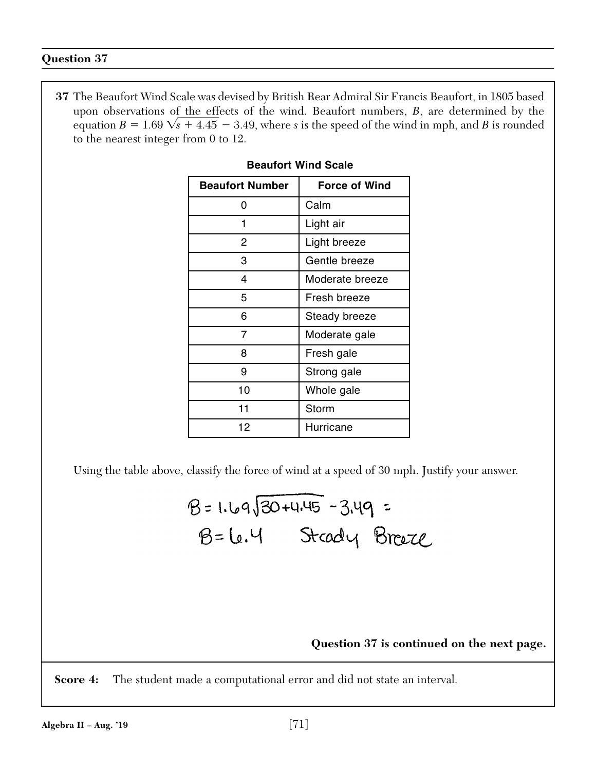**37** The Beaufort Wind Scale was devised by British Rear Admiral Sir Francis Beaufort, in 1805 based upon observations of the effects of the wind. Beaufort numbers, *B*, are determined by the equation  $B = 1.69 \sqrt{s} + 4.45 - 3.49$ , where *s* is the speed of the wind in mph, and *B* is rounded to the nearest integer from 0 to 12.

| <b>Beaufort Number</b> | <b>Force of Wind</b> |
|------------------------|----------------------|
| O                      | Calm                 |
|                        | Light air            |
| 2                      | Light breeze         |
| 3                      | Gentle breeze        |
| 4                      | Moderate breeze      |
| 5                      | Fresh breeze         |
| 6                      | Steady breeze        |
| 7                      | Moderate gale        |
| 8                      | Fresh gale           |
| 9                      | Strong gale          |
| 10                     | Whole gale           |
| 11                     | Storm                |
| 12                     | Hurricane            |

# **Beaufort Wind Scale**

Using the table above, classify the force of wind at a speed of 30 mph. Justify your answer.

# **Question 37 is continued on the next page.**

**Score 4:** The student made a computational error and did not state an interval.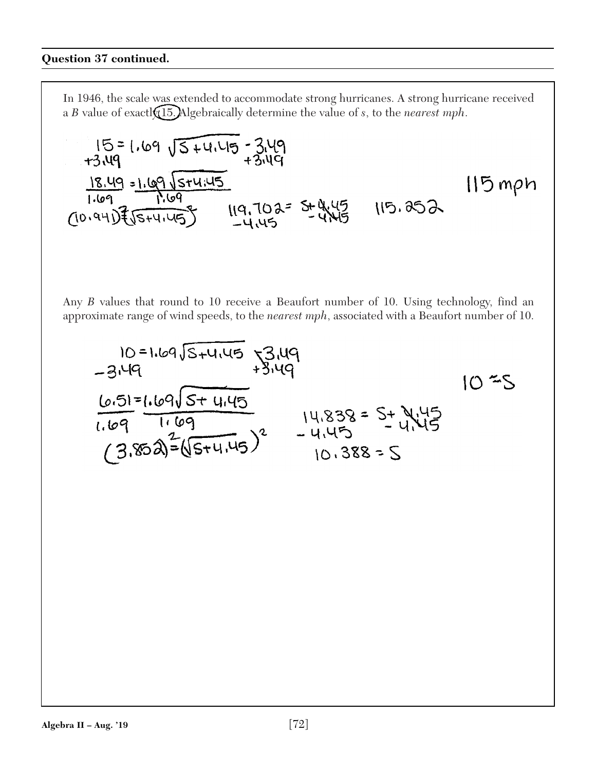In 1946, the scale was extended to accommodate strong hurricanes. A strong hurricane received a *B* value of exactly 15. Algebraically determine the value of *s*, to the *nearest mph*.

$$
15 = 1.69 \sqrt{5} + 4.45 = 3.49
$$
  
\n
$$
18.49 = 1.69 \sqrt{5} + 4.45
$$
  
\n
$$
1.69 = 1.69 \sqrt{5} + 4.45
$$
  
\n
$$
1.69 = 1.69 \sqrt{5} + 4.45
$$
  
\n
$$
1.69 = 1.69 \sqrt{5} + 4.45
$$
  
\n
$$
1.69 = 1.69 \sqrt{5} + 4.45
$$
  
\n
$$
1.69 = 1.69 \sqrt{5} + 4.45
$$
  
\n
$$
1.69 = 1.69 \sqrt{5} + 4.45
$$
  
\n
$$
1.69 = 1.69 \sqrt{5} + 4.45
$$
  
\n
$$
1.69 = 1.69 \sqrt{5} + 4.45
$$
  
\n
$$
1.69 = 1.69 \sqrt{5} + 4.45
$$

Any *B* values that round to 10 receive a Beaufort number of 10. Using technology, find an approximate range of wind speeds, to the *nearest mph*, associated with a Beaufort number of 10.

10 = 1.69
$$
\sqrt{3}
$$
+4.45  
\n-3.49  
\n6.51=1.69 $\sqrt{5}$ +4.45  
\n1.69  
\n1.69  
\n1.69  
\n1.69  
\n1.69  
\n1.69  
\n1.45  
\n10.388 = S  
\n10.388 = S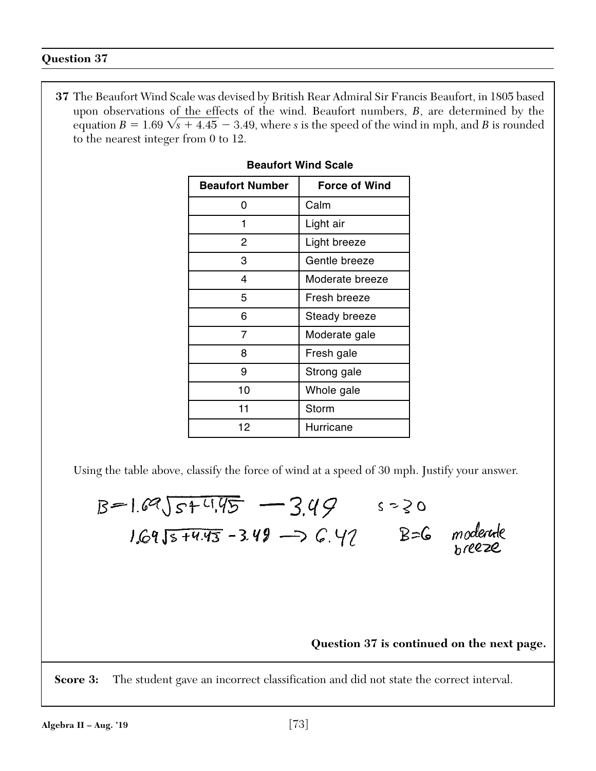**37** The Beaufort Wind Scale was devised by British Rear Admiral Sir Francis Beaufort, in 1805 based upon observations of the effects of the wind. Beaufort numbers, *B*, are determined by the equation  $B = 1.69 \sqrt{s} + 4.45 - 3.49$ , where *s* is the speed of the wind in mph, and *B* is rounded to the nearest integer from 0 to 12.

| <b>Beaufort Number</b> | <b>Force of Wind</b> |
|------------------------|----------------------|
| O                      | Calm                 |
|                        | Light air            |
| 2                      | Light breeze         |
| 3                      | Gentle breeze        |
| 4                      | Moderate breeze      |
| 5                      | Fresh breeze         |
| 6                      | Steady breeze        |
| 7                      | Moderate gale        |
| 8                      | Fresh gale           |
| 9                      | Strong gale          |
| 10                     | Whole gale           |
| 11                     | Storm                |
| 12                     | Hurricane            |

# **Beaufort Wind Scale**

Using the table above, classify the force of wind at a speed of 30 mph. Justify your answer.

 $B=1.69\sqrt{s+4.95}$  - 3.49  $s=30$  $1.6915 + 4.43 = 3.49 \rightarrow 6.47$  B=6 moderate hreeze

# **Question 37 is continued on the next page.**

**Score 3:** The student gave an incorrect classification and did not state the correct interval.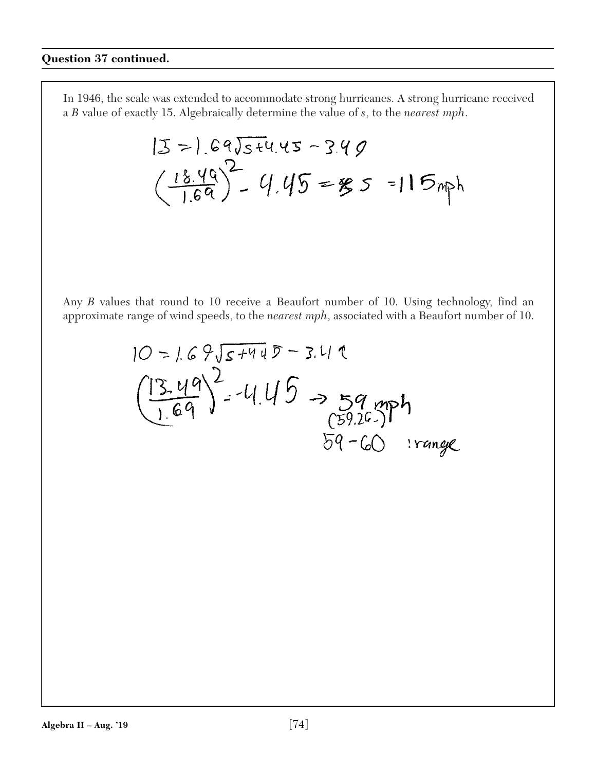$$
|3\rangle.69\sqrt{5}t4.45-3.49
$$
  

$$
\left(\frac{18.49}{1.69}\right)^2 - 4.45 = 85 = 115
$$

$$
10 = 1.69\sqrt{5+440} = 3.419
$$
  
\n
$$
\left(\frac{13.49}{1.69}\right)^2 - 4.45 = 59.79
$$
  
\n
$$
\frac{(3.49)}{59.26} = 59.76
$$
  
\n
$$
59 - 60 = 326
$$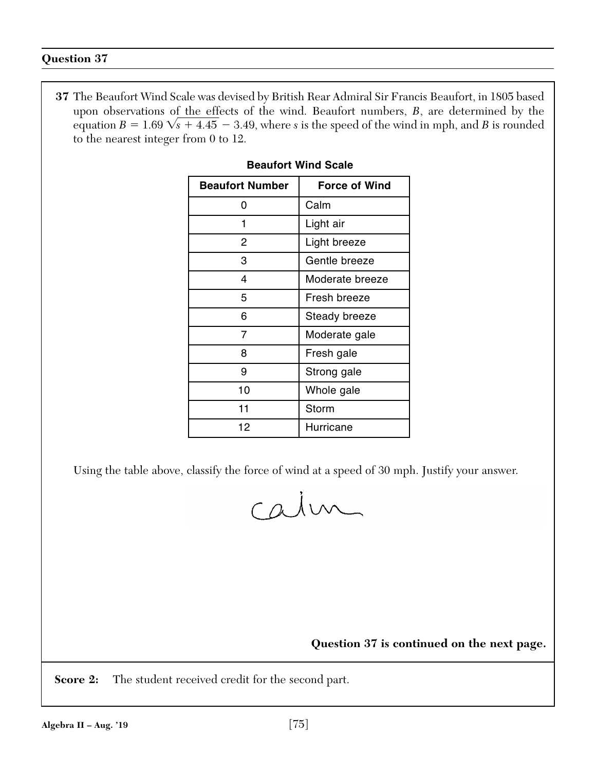**37** The Beaufort Wind Scale was devised by British Rear Admiral Sir Francis Beaufort, in 1805 based upon observations of the effects of the wind. Beaufort numbers, *B*, are determined by the equation  $B = 1.69 \sqrt{s} + 4.45 - 3.49$ , where *s* is the speed of the wind in mph, and *B* is rounded to the nearest integer from 0 to 12.

| <b>Beaufort Number</b> | <b>Force of Wind</b> |
|------------------------|----------------------|
| 0                      | Calm                 |
| 1                      | Light air            |
| 2                      | Light breeze         |
| 3                      | Gentle breeze        |
| 4                      | Moderate breeze      |
| 5                      | Fresh breeze         |
| 6                      | Steady breeze        |
| 7                      | Moderate gale        |
| 8                      | Fresh gale           |
| 9                      | Strong gale          |
| 10                     | Whole gale           |
| 11                     | Storm                |
| 12                     | Hurricane            |

# **Beaufort Wind Scale**

Using the table above, classify the force of wind at a speed of 30 mph. Justify your answer.

calm

**Question 37 is continued on the next page.**

**Score 2:** The student received credit for the second part.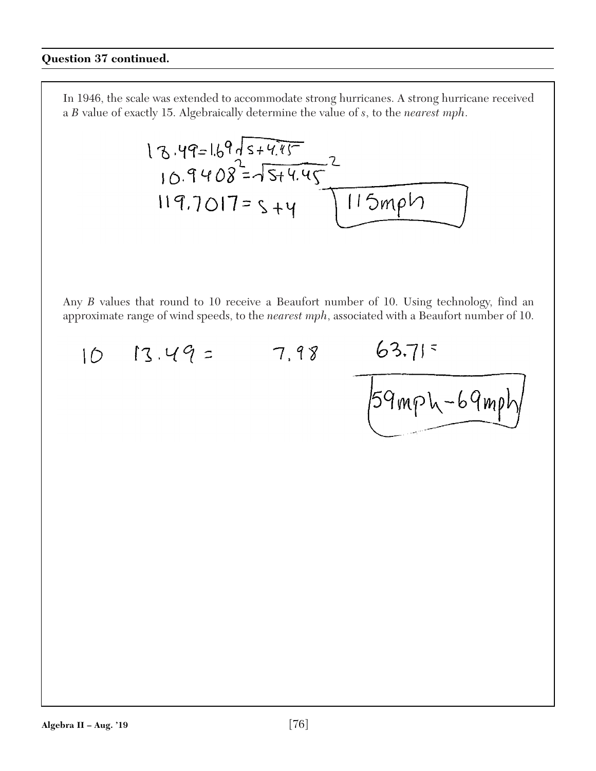13.49=1.69
$$
\sqrt{5+4.45}
$$
  
10.9408 =  $\sqrt{5+4.45}$   
119.7017=5+y 115mph

$$
10
$$
 13.49 = 7.98

/59mph-69mp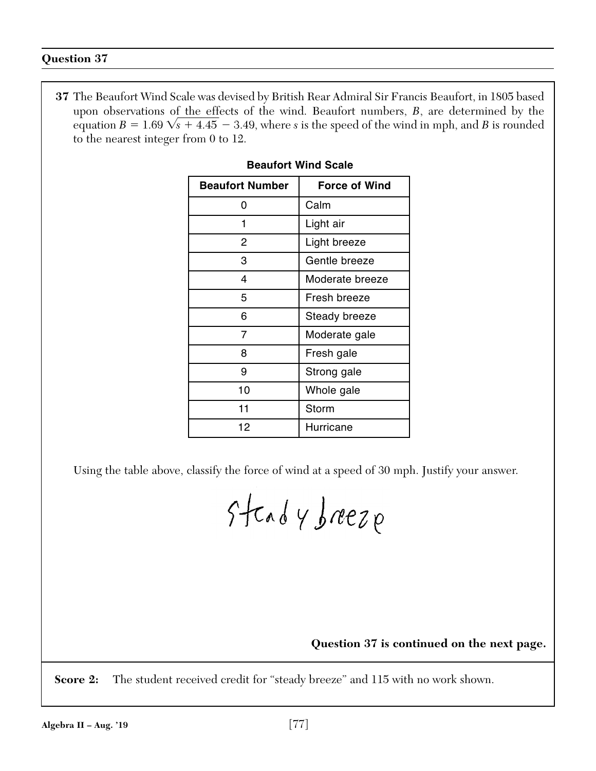**37** The Beaufort Wind Scale was devised by British Rear Admiral Sir Francis Beaufort, in 1805 based upon observations of the effects of the wind. Beaufort numbers, *B*, are determined by the equation  $B = 1.69 \sqrt{s} + 4.45 - 3.49$ , where *s* is the speed of the wind in mph, and *B* is rounded to the nearest integer from 0 to 12.

| <b>Beaufort Number</b> | <b>Force of Wind</b> |
|------------------------|----------------------|
| 0                      | Calm                 |
| 1                      | Light air            |
| 2                      | Light breeze         |
| 3                      | Gentle breeze        |
| 4                      | Moderate breeze      |
| 5                      | Fresh breeze         |
| 6                      | Steady breeze        |
| 7                      | Moderate gale        |
| 8                      | Fresh gale           |
| 9                      | Strong gale          |
| 10                     | Whole gale           |
| 11                     | Storm                |
| 12                     | Hurricane            |

# **Beaufort Wind Scale**

Using the table above, classify the force of wind at a speed of 30 mph. Justify your answer.

Steady breeze

# **Question 37 is continued on the next page.**

**Score 2:** The student received credit for "steady breeze" and 115 with no work shown.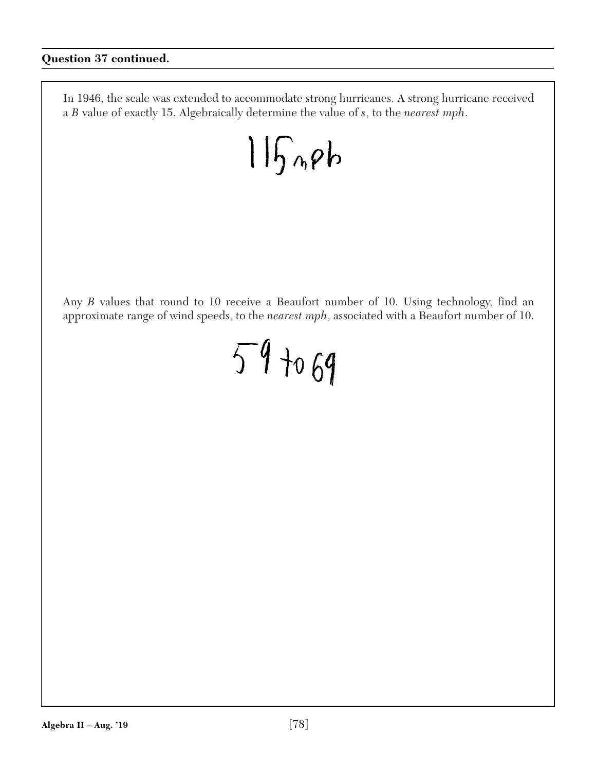$115$ nph

Any *B* values that round to 10 receive a Beaufort number of 10. Using technology, find an approximate range of wind speeds, to the *nearest mph*, associated with a Beaufort number of 10.

# $59 + 69$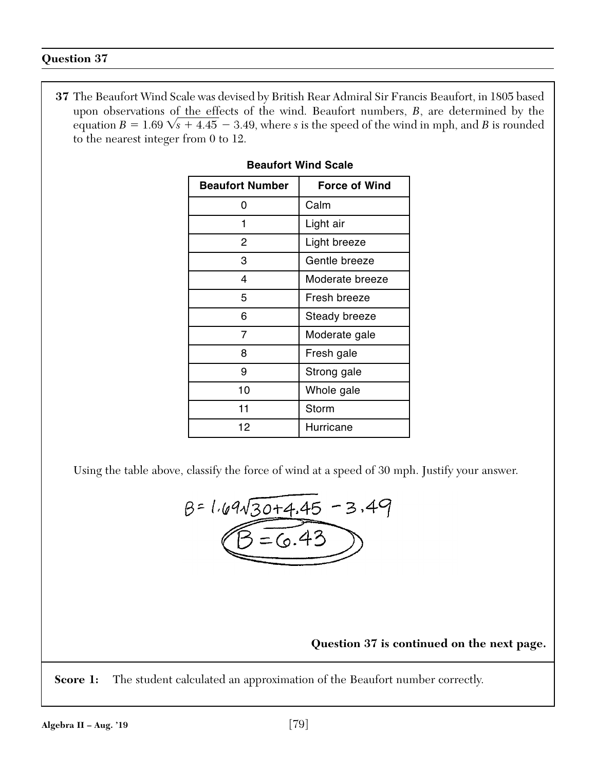**37** The Beaufort Wind Scale was devised by British Rear Admiral Sir Francis Beaufort, in 1805 based upon observations of the effects of the wind. Beaufort numbers, *B*, are determined by the equation  $B = 1.69 \sqrt{s} + 4.45 - 3.49$ , where *s* is the speed of the wind in mph, and *B* is rounded to the nearest integer from 0 to 12.

| <b>Beaufort Number</b> | <b>Force of Wind</b> |
|------------------------|----------------------|
| ი                      | Calm                 |
| 1                      | Light air            |
| 2                      | Light breeze         |
| 3                      | Gentle breeze        |
| 4                      | Moderate breeze      |
| 5                      | Fresh breeze         |
| 6                      | Steady breeze        |
| 7                      | Moderate gale        |
| 8                      | Fresh gale           |
| 9                      | Strong gale          |
| 10                     | Whole gale           |
| 11                     | Storm                |
| 12                     | Hurricane            |

# **Beaufort Wind Scale**

Using the table above, classify the force of wind at a speed of 30 mph. Justify your answer.

$$
B = 1.69\sqrt{30+4.45} - 3.49
$$
  
(B = 6.43)

**Question 37 is continued on the next page.**

**Score 1:** The student calculated an approximation of the Beaufort number correctly.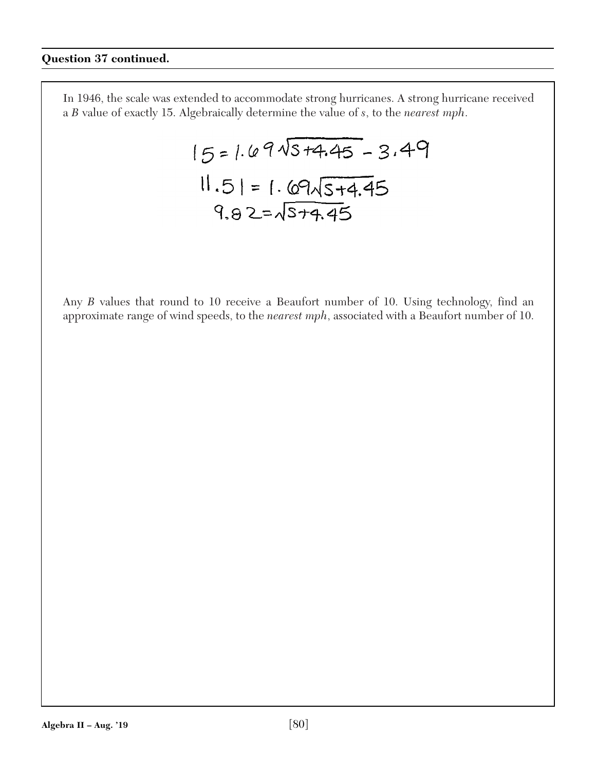$$
15 = 1.69\sqrt{3+4.45} - 3.49
$$
  
 $11.51 = 1.69\sqrt{3+4.45}$   
 $9.82 = \sqrt{3+4.45}$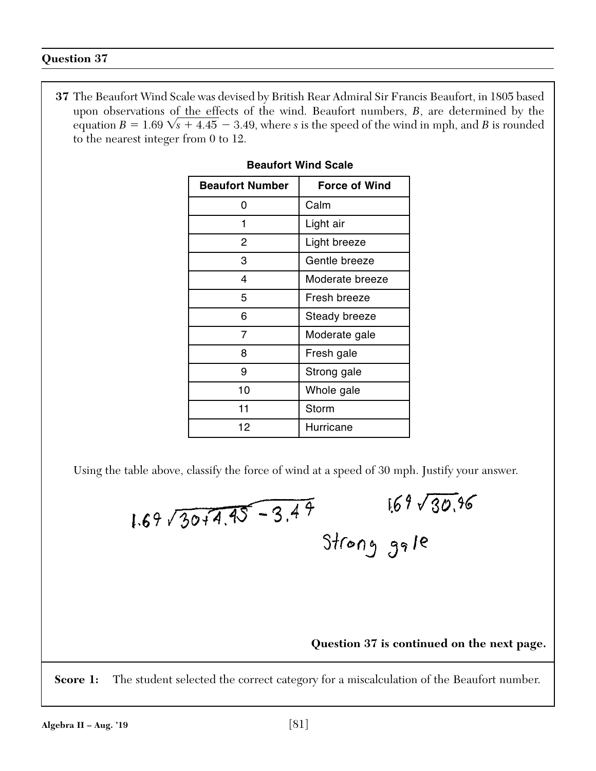**37** The Beaufort Wind Scale was devised by British Rear Admiral Sir Francis Beaufort, in 1805 based upon observations of the effects of the wind. Beaufort numbers, *B*, are determined by the equation  $B = 1.69 \sqrt{s} + 4.45 - 3.49$ , where *s* is the speed of the wind in mph, and *B* is rounded to the nearest integer from 0 to 12.

| <b>Beaufort Number</b> | <b>Force of Wind</b> |
|------------------------|----------------------|
| O                      | Calm                 |
| 1                      | Light air            |
| 2                      | Light breeze         |
| 3                      | Gentle breeze        |
| 4                      | Moderate breeze      |
| 5                      | Fresh breeze         |
| 6                      | Steady breeze        |
| 7                      | Moderate gale        |
| 8                      | Fresh gale           |
| 9                      | Strong gale          |
| 10                     | Whole gale           |
| 11                     | Storm                |
| 12                     | Hurricane            |

# **Beaufort Wind Scale**

Using the table above, classify the force of wind at a speed of 30 mph. Justify your answer.

$$
1.69\sqrt{30+4.45-3.49}
$$
  $169\sqrt{30.96}$   
Strong gal

# **Question 37 is continued on the next page.**

**Score 1:** The student selected the correct category for a miscalculation of the Beaufort number.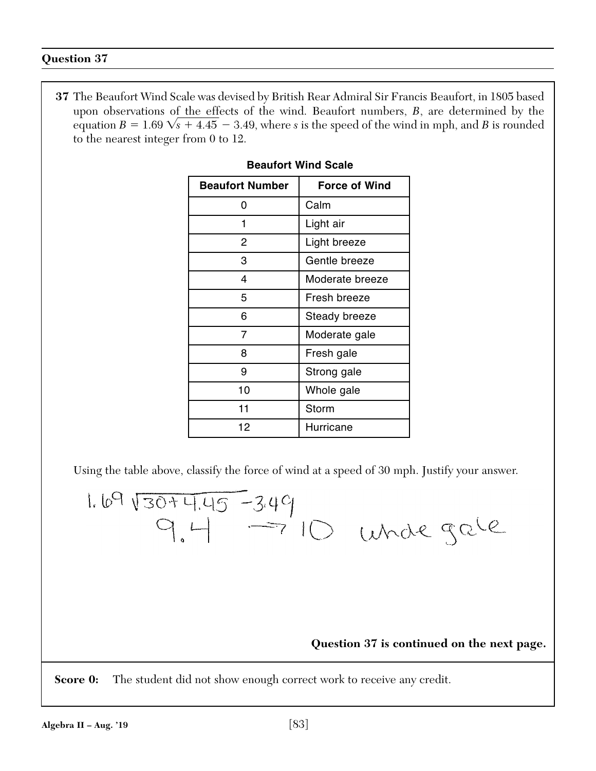**37** The Beaufort Wind Scale was devised by British Rear Admiral Sir Francis Beaufort, in 1805 based upon observations of the effects of the wind. Beaufort numbers, *B*, are determined by the equation  $B = 1.69 \sqrt{s} + 4.45 - 3.49$ , where *s* is the speed of the wind in mph, and *B* is rounded to the nearest integer from 0 to 12.

| <b>Beaufort Number</b> | <b>Force of Wind</b> |
|------------------------|----------------------|
| ŋ                      | Calm                 |
| 1                      | Light air            |
| 2                      | Light breeze         |
| 3                      | Gentle breeze        |
| 4                      | Moderate breeze      |
| 5                      | Fresh breeze         |
| 6                      | Steady breeze        |
| 7                      | Moderate gale        |
| 8                      | Fresh gale           |
| 9                      | Strong gale          |
| 10                     | Whole gale           |
| 11                     | Storm                |
| 12                     | Hurricane            |

# **Beaufort Wind Scale**

Using the table above, classify the force of wind at a speed of 30 mph. Justify your answer.